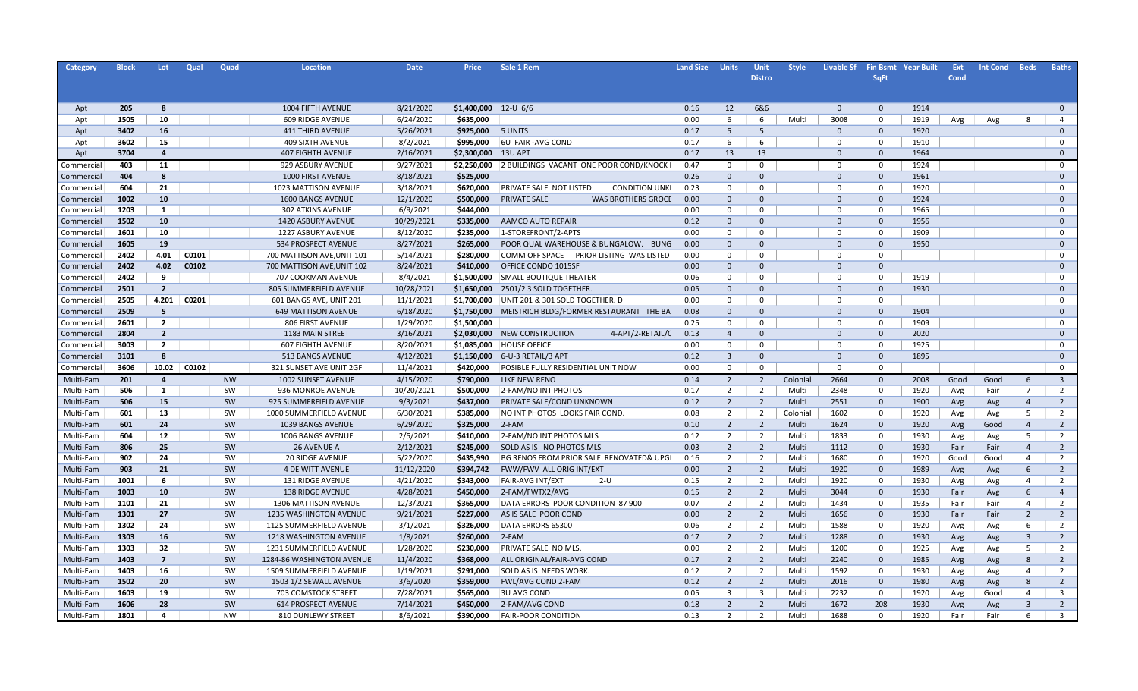| Category   | <b>Block</b> | Lot            | Qual  | Quad      | Location                   | <b>Date</b> | <b>Price</b> | Sale 1 Rem                                       | <b>Land Size</b> | <b>Units</b>   | <b>Unit</b>    | <b>Style</b> | <b>Livable Sf</b> |                | <b>Fin Bsmt Year Built</b> | Ext  | <b>Int Cond</b> | <b>Beds</b>             | <b>Baths</b>   |
|------------|--------------|----------------|-------|-----------|----------------------------|-------------|--------------|--------------------------------------------------|------------------|----------------|----------------|--------------|-------------------|----------------|----------------------------|------|-----------------|-------------------------|----------------|
|            |              |                |       |           |                            |             |              |                                                  |                  |                | <b>Distro</b>  |              |                   | <b>SqFt</b>    |                            | Cond |                 |                         |                |
|            |              |                |       |           |                            |             |              |                                                  |                  |                |                |              |                   |                |                            |      |                 |                         |                |
|            |              |                |       |           |                            |             |              |                                                  |                  |                |                |              |                   |                |                            |      |                 |                         |                |
| Apt        | 205          | 8              |       |           | 1004 FIFTH AVENUE          | 8/21/2020   | \$1,400,000  | 12-U $6/6$                                       | 0.16             | 12             | 6&6            |              | $\mathbf{0}$      | $\mathbf{0}$   | 1914                       |      |                 |                         | $\mathbf 0$    |
| Apt        | 1505         | 10             |       |           | 609 RIDGE AVENUE           | 6/24/2020   | \$635,000    |                                                  | 0.00             | 6              | 6              | Multi        | 3008              | 0              | 1919                       | Avg  | Avg             | 8                       | $\overline{4}$ |
| Apt        | 3402         | 16             |       |           | <b>411 THIRD AVENUE</b>    | 5/26/2021   | \$925,000    | 5 UNITS                                          | 0.17             | 5              | -5             |              | $\Omega$          | $\mathbf{0}$   | 1920                       |      |                 |                         | $\Omega$       |
| Apt        | 3602         | 15             |       |           | <b>409 SIXTH AVENUE</b>    | 8/2/2021    | \$995,000    | 6U FAIR-AVG COND                                 | 0.17             | 6              | 6              |              | $\Omega$          | $\Omega$       | 1910                       |      |                 |                         | $\mathbf 0$    |
| Apt        | 3704         | $\overline{4}$ |       |           | <b>407 EIGHTH AVENUE</b>   | 2/16/2021   | \$2,300,000  | 13U APT                                          | 0.17             | 13             | 13             |              | $\Omega$          | $\mathbf{0}$   | 1964                       |      |                 |                         | $\Omega$       |
| Commercial | 403          | 11             |       |           | 929 ASBURY AVENUE          | 9/27/2021   | \$2,250,000  | 2 BUILDINGS VACANT ONE POOR COND/KNOCK           | 0.47             | $\mathbf 0$    | 0              |              | $\Omega$          | $^{\circ}$     | 1924                       |      |                 |                         | $\mathbf 0$    |
| Commercial | 404          | $\mathbf{R}$   |       |           | 1000 FIRST AVENUE          | 8/18/2021   | \$525,000    |                                                  | 0.26             | $\Omega$       | $\Omega$       |              | $\Omega$          | $\mathbf 0$    | 1961                       |      |                 |                         | $\Omega$       |
| Commercial | 604          | 21             |       |           | 1023 MATTISON AVENUE       | 3/18/2021   | \$620,000    | PRIVATE SALE NOT LISTED<br><b>CONDITION UNKI</b> | 0.23             | $\Omega$       | $\Omega$       |              | $\Omega$          | $\mathbf 0$    | 1920                       |      |                 |                         | $\Omega$       |
| Commercial | 1002         | 10             |       |           | 1600 BANGS AVENUE          | 12/1/2020   | \$500,000    | PRIVATE SALE<br><b>WAS BROTHERS GROCE</b>        | 0.00             | $\Omega$       | $\Omega$       |              | $\Omega$          | $\overline{0}$ | 1924                       |      |                 |                         | $\Omega$       |
| Commercial | 1203         | 1              |       |           | <b>302 ATKINS AVENUE</b>   | 6/9/2021    | \$444,000    |                                                  | 0.00             | $\Omega$       | $\Omega$       |              | $\Omega$          | $\Omega$       | 1965                       |      |                 |                         | $\Omega$       |
| Commercial | 1502         | 10             |       |           | <b>1420 ASBURY AVENUE</b>  | 10/29/2021  | \$335,000    | AAMCO AUTO REPAIR                                | 0.12             | $\Omega$       | $\Omega$       |              | $\Omega$          | $\mathbf{0}$   | 1956                       |      |                 |                         | $\Omega$       |
| Commercial | 1601         | 10             |       |           | 1227 ASBURY AVENUE         | 8/12/2020   | \$235,000    | 1-STOREFRONT/2-APTS                              | 0.00             | $\Omega$       | $\Omega$       |              | $\Omega$          | $\Omega$       | 1909                       |      |                 |                         | $\Omega$       |
| Commercial | 1605         | 19             |       |           | 534 PROSPECT AVENUE        | 8/27/2021   | \$265,000    | POOR QUAL WAREHOUSE & BUNGALOW. BUNG             | 0.00             | $\Omega$       | $\Omega$       |              | $\Omega$          | $\mathbf{0}$   | 1950                       |      |                 |                         | $\Omega$       |
| Commercial | 2402         | 4.01           | C0101 |           | 700 MATTISON AVE, UNIT 101 | 5/14/2021   | \$280,000    | COMM OFF SPACE PRIOR LISTING WAS LISTED          | 0.00             | $\Omega$       | $\mathbf 0$    |              | $\Omega$          | $\Omega$       |                            |      |                 |                         | $\Omega$       |
| Commercial | 2402         | 4.02           | C0102 |           | 700 MATTISON AVE, UNIT 102 | 8/24/2021   | \$410,000    | OFFICE CONDO 1015SF                              | 0.00             | $\Omega$       | $\Omega$       |              | $\Omega$          | $\mathbf{0}$   |                            |      |                 |                         | $\Omega$       |
| Commercial | 2402         | 9              |       |           | 707 COOKMAN AVENUE         | 8/4/2021    | \$1,500,000  | <b>SMALL BOUTIQUE THEATER</b>                    | 0.06             | $\Omega$       | $\mathbf 0$    |              | $\Omega$          | $\Omega$       | 1919                       |      |                 |                         | $\Omega$       |
| Commercial | 2501         | $\overline{2}$ |       |           | 805 SUMMERFIELD AVENUE     | 10/28/2021  | \$1,650,000  | 2501/2 3 SOLD TOGETHER                           | 0.05             | $\Omega$       | $\Omega$       |              | $\Omega$          | $\mathbf{0}$   | 1930                       |      |                 |                         | $\Omega$       |
| Commercial | 2505         | 4.201          | C0201 |           | 601 BANGS AVE, UNIT 201    | 11/1/2021   | \$1,700,000  | UNIT 201 & 301 SOLD TOGETHER. D                  | 0.00             | $\Omega$       | $\mathbf 0$    |              | $\Omega$          | $\Omega$       |                            |      |                 |                         | $\Omega$       |
| Commercial | 2509         | 5              |       |           | <b>649 MATTISON AVENUE</b> | 6/18/2020   | \$1,750,000  | MEISTRICH BLDG/FORMER RESTAURANT THE BA          | 0.08             | $\Omega$       | $\Omega$       |              | $\Omega$          | $\mathbf{0}$   | 1904                       |      |                 |                         | $\Omega$       |
| Commercial | 2601         | $\overline{2}$ |       |           | <b>806 FIRST AVENUE</b>    | 1/29/2020   | \$1,500,000  |                                                  | 0.25             | $\Omega$       | 0              |              | $\Omega$          | $\Omega$       | 1909                       |      |                 |                         | $\Omega$       |
| Commercial | 2804         | $\overline{2}$ |       |           | 1183 MAIN STREET           | 3/16/2021   | \$2,030,000  | NEW CONSTRUCTION<br>4-APT/2-RETAIL/C             | 0.13             | $\overline{a}$ | $\Omega$       |              | $\Omega$          | $\Omega$       | 2020                       |      |                 |                         | $\Omega$       |
| Commercial | 3003         | $\overline{2}$ |       |           | <b>607 EIGHTH AVENUE</b>   | 8/20/2021   | \$1,085,000  | <b>HOUSE OFFICE</b>                              | 0.00             | $\Omega$       | $\Omega$       |              | $\Omega$          | $\Omega$       | 1925                       |      |                 |                         | $\Omega$       |
| Commercial | 3101         | $\mathbf{g}$   |       |           | 513 BANGS AVENUE           | 4/12/2021   | \$1,150,000  | 6-U-3 RETAIL/3 APT                               | 0.12             | $\overline{3}$ | $\Omega$       |              | $\Omega$          | $\mathbf 0$    | 1895                       |      |                 |                         | $\Omega$       |
| Commercial | 3606         | 10.02          | C0102 |           | 321 SUNSET AVE UNIT 2GF    | 11/4/2021   | \$420,000    | POSIBLE FULLY RESIDENTIAL UNIT NOW               | 0.00             | $\Omega$       | $\Omega$       |              | $\Omega$          | $\Omega$       |                            |      |                 |                         | $\mathbf 0$    |
| Multi-Fam  | 201          | $\overline{4}$ |       | <b>NW</b> | 1002 SUNSET AVENUE         | 4/15/2020   | \$790,000    | LIKE NEW RENO                                    | 0.14             | $\overline{2}$ | 2              | Colonial     | 2664              | $\mathbf 0$    | 2008                       | Good | Good            | 6                       | $\overline{3}$ |
| Multi-Fam  | 506          | 1              |       | SW        | 936 MONROE AVENUE          | 10/20/2021  | \$500,000    | 2-FAM/NO INT PHOTOS                              | 0.17             | 2              | 2              | Multi        | 2348              | $\mathbf 0$    | 1920                       | Avg  | Fair            | - 7                     | 2              |
| Multi-Fam  | 506          | 15             |       | SW        | 925 SUMMERFIELD AVENUE     | 9/3/2021    | \$437,000    | PRIVATE SALE/COND UNKNOWN                        | 0.12             | $\overline{2}$ | $\overline{2}$ | Multi        | 2551              | $\mathbf 0$    | 1900                       | Avg  | Avg             | $\overline{4}$          | $\overline{2}$ |
| Multi-Fam  | 601          | 13             |       | SW        | 1000 SUMMERFIELD AVENUE    | 6/30/2021   | \$385,000    | NO INT PHOTOS LOOKS FAIR COND.                   | 0.08             | 2              | $\overline{2}$ | Colonial     | 1602              | $\Omega$       | 1920                       | Avg  | Avg             | -5                      | $\overline{2}$ |
| Multi-Fam  | 601          | 24             |       | SW        | 1039 BANGS AVENUE          | 6/29/2020   | \$325,000    | 2-FAM                                            | 0.10             | $\overline{2}$ | $\overline{2}$ | Multi        | 1624              | $\mathbf{0}$   | 1920                       | Avg  | Good            | $\overline{4}$          | $\overline{2}$ |
| Multi-Fam  | 604          | 12             |       | SW        | 1006 BANGS AVENUE          | 2/5/2021    | \$410,000    | 2-FAM/NO INT PHOTOS MLS                          | 0.12             | 2              | 2              | Multi        | 1833              | 0              | 1930                       | Avg  | Avg             | -5                      | $\overline{2}$ |
| Multi-Fam  | 806          | 25             |       | SW        | 26 AVENUE A                | 2/12/2021   | \$245,000    | SOLD AS IS NO PHOTOS MLS                         | 0.03             | $\overline{2}$ | $\overline{2}$ | Multi        | 1112              | $\mathbf{0}$   | 1930                       | Fair | Fair            | $\overline{4}$          | $\overline{2}$ |
| Multi-Fam  | 902          | 24             |       | SW        | <b>20 RIDGE AVENUE</b>     | 5/22/2020   | \$435,990    | BG RENOS FROM PRIOR SALE RENOVATED& UPG          | 0.16             | 2              | 2              | Multi        | 1680              | $\Omega$       | 1920                       | Good | Good            | $\overline{4}$          | $\overline{2}$ |
| Multi-Fam  | 903          | 21             |       | SW        | 4 DE WITT AVENUE           | 11/12/2020  | \$394,742    | FWW/FWV ALL ORIG INT/EXT                         | 0.00             | $\overline{2}$ | $\overline{2}$ | Multi        | 1920              | $\mathbf{0}$   | 1989                       | Avg  | Avg             | 6                       | $\overline{2}$ |
| Multi-Fam  | 1001         | -6             |       | SW        | <b>131 RIDGE AVENUE</b>    | 4/21/2020   | \$343,000    | <b>FAIR-AVG INT/EXT</b><br>2-U                   | 0.15             | 2              | 2              | Multi        | 1920              | $\Omega$       | 1930                       | Avg  | Avg             | $\overline{4}$          | $\overline{2}$ |
| Multi-Fam  | 1003         | 10             |       | SW        | 138 RIDGE AVENUE           | 4/28/2021   | \$450,000    | 2-FAM/FWTX2/AVG                                  | 0.15             | $\overline{2}$ | $\overline{2}$ | Multi        | 3044              | $\mathbf{0}$   | 1930                       | Fair | Avg             | 6                       | $\overline{4}$ |
| Multi-Fam  | 1101         | 21             |       | SW        | 1306 MATTISON AVENUE       | 12/3/2021   | \$365,000    | DATA ERRORS POOR CONDITION 87 900                | 0.07             | 2              | 2              | Multi        | 1434              | $\mathbf 0$    | 1935                       | Fair | Fair            | $\overline{4}$          | 2              |
| Multi-Fam  | 1301         | 27             |       | SW        | 1235 WASHINGTON AVENUE     | 9/21/2021   | \$227,000    | AS IS SALE POOR COND                             | 0.00             | $\overline{2}$ | $\overline{2}$ | Multi        | 1656              | $\mathbf 0$    | 1930                       | Fair | Fair            | $\overline{2}$          | $\overline{2}$ |
| Multi-Fam  | 1302         | 24             |       | SW        | 1125 SUMMERFIELD AVENUE    | 3/1/2021    | \$326,000    | DATA ERRORS 65300                                | 0.06             | 2              | 2              | Multi        | 1588              | $\mathbf 0$    | 1920                       | Avg  | Avg             | 6                       | 2              |
| Multi-Fam  | 1303         | 16             |       | SW        | 1218 WASHINGTON AVENUE     | 1/8/2021    | \$260,000    | 2-FAM                                            | 0.17             | $\overline{2}$ | $\overline{2}$ | Multi        | 1288              | $\mathbf 0$    | 1930                       | Avg  | Avg             | $\overline{\mathbf{3}}$ | $\overline{2}$ |
| Multi-Fam  | 1303         | 32             |       | SW        | 1231 SUMMERFIELD AVENUE    | 1/28/2020   | \$230,000    | PRIVATE SALE NO MLS.                             | 0.00             | 2              | 2              | Multi        | 1200              | $\mathbf 0$    | 1925                       | Avg  | Avg             | -5                      | 2              |
| Multi-Fam  | 1403         | $\overline{7}$ |       | SW        | 1284-86 WASHINGTON AVENUE  | 11/4/2020   | \$368,000    | ALL ORIGINAL/FAIR-AVG COND                       | 0.17             | $\overline{2}$ | $\overline{2}$ | Multi        | 2240              | $\mathbf 0$    | 1985                       | Avg  | Avg             | 8                       | $\overline{2}$ |
| Multi-Fam  | 1403         | 16             |       | SW        | 1509 SUMMERFIELD AVENUE    | 1/19/2021   | \$291,000    | SOLD AS IS NEEDS WORK                            | 0.12             | $\overline{2}$ | $\overline{2}$ | Multi        | 1592              | $\mathbf 0$    | 1930                       | Avg  | Avg             | $\overline{4}$          | $\overline{2}$ |
| Multi-Fam  | 1502         | 20             |       | SW        | 1503 1/2 SEWALL AVENUE     | 3/6/2020    | \$359,000    | FWL/AVG COND 2-FAM                               | 0.12             | $\overline{2}$ | $\overline{2}$ | Multi        | 2016              | $\mathbf{0}$   | 1980                       | Avg  | Avg             | 8                       | $\overline{2}$ |
| Multi-Fam  | 1603         | 19             |       | SW        | 703 COMSTOCK STREET        | 7/28/2021   | \$565,000    | <b>3U AVG COND</b>                               | 0.05             | 3              | 3              | Multi        | 2232              | 0              | 1920                       | Avg  | Good            | $\overline{4}$          | $\overline{3}$ |
| Multi-Fam  | 1606         | 28             |       | SW        | <b>614 PROSPECT AVENUE</b> | 7/14/2021   | \$450,000    | 2-FAM/AVG COND                                   | 0.18             | $\overline{2}$ | $\overline{2}$ | Multi        | 1672              | 208            | 1930                       | Avg  | Avg             | $\overline{3}$          | $\overline{2}$ |
| Multi-Fam  | 1801         | $\Delta$       |       | <b>NW</b> | 810 DUNLEWY STREET         | 8/6/2021    | \$390,000    | <b>FAIR-POOR CONDITION</b>                       | 0.13             | 2              | 2              | Multi        | 1688              | $\Omega$       | 1920                       | Fair | Fair            | 6                       | $\overline{3}$ |
|            |              |                |       |           |                            |             |              |                                                  |                  |                |                |              |                   |                |                            |      |                 |                         |                |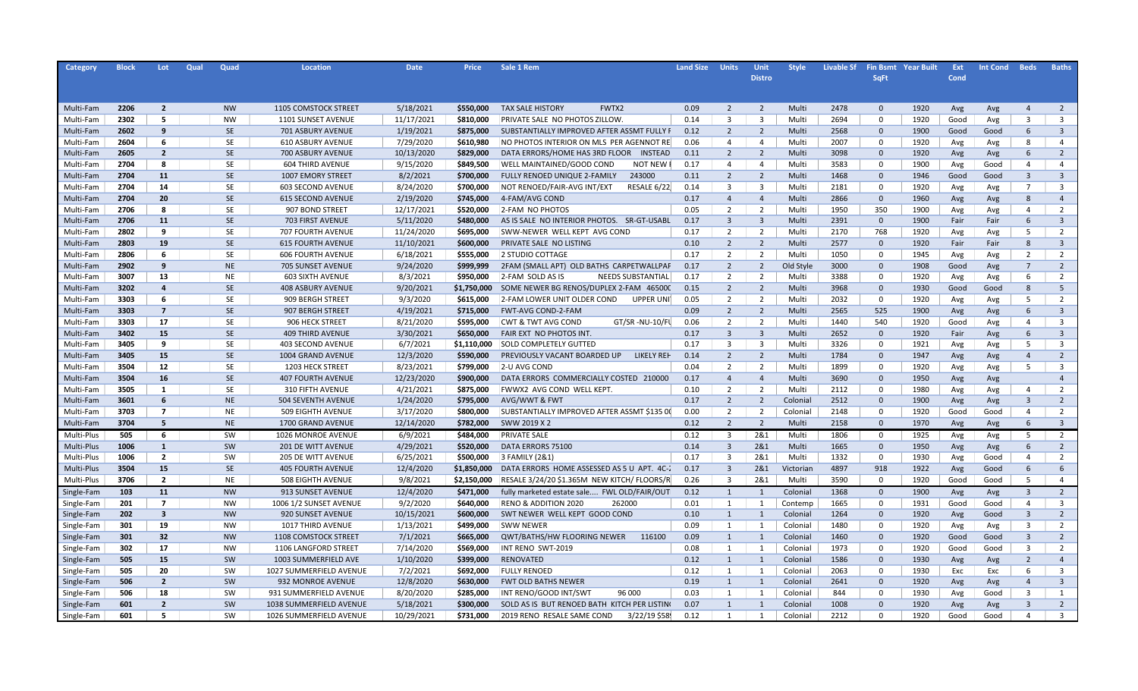| <b>Category</b> | <b>Block</b> | Lot                     | Qual | Quad      | Location                 | <b>Date</b> | <b>Price</b> | Sale 1 Rem                                        | <b>Land Size</b> | <b>Units</b>            | Unit                    | <b>Style</b> | <b>Livable Sf</b> |              | <b>Fin Bsmt Year Built</b> | Ext  | <b>Int Cond</b> | <b>Beds</b>             | <b>Baths</b>            |
|-----------------|--------------|-------------------------|------|-----------|--------------------------|-------------|--------------|---------------------------------------------------|------------------|-------------------------|-------------------------|--------------|-------------------|--------------|----------------------------|------|-----------------|-------------------------|-------------------------|
|                 |              |                         |      |           |                          |             |              |                                                   |                  |                         | <b>Distro</b>           |              |                   | <b>SqFt</b>  |                            | Cond |                 |                         |                         |
|                 |              |                         |      |           |                          |             |              |                                                   |                  |                         |                         |              |                   |              |                            |      |                 |                         |                         |
|                 |              |                         |      |           |                          |             |              |                                                   |                  |                         |                         |              |                   |              |                            |      |                 |                         |                         |
| Multi-Fam       | 2206         | $\overline{2}$          |      | <b>NW</b> | 1105 COMSTOCK STREET     | 5/18/2021   | \$550,000    | <b>TAX SALE HISTORY</b><br>FWTX2                  | 0.09             | 2                       | $\overline{2}$          | Multi        | 2478              | $\mathbf{0}$ | 1920                       | Avg  | Avg             | $\overline{4}$          | 2                       |
| Multi-Fam       | 2302         | 5                       |      | <b>NW</b> | 1101 SUNSET AVENUE       | 11/17/2021  | \$810,000    | PRIVATE SALE NO PHOTOS ZILLOW                     | 0.14             | $\overline{\mathbf{3}}$ | $\overline{3}$          | Multi        | 2694              | $\mathbf 0$  | 1920                       | Good | Avg             | $\overline{3}$          | $\overline{3}$          |
| Multi-Fam       | 2602         | 9                       |      | <b>SE</b> | 701 ASBURY AVENUE        | 1/19/2021   | \$875,000    | SUBSTANTIALLY IMPROVED AFTER ASSMT FULLY F        | 0.12             | $\overline{2}$          | $\overline{2}$          | Multi        | 2568              | $\mathbf 0$  | 1900                       | Good | Good            | 6                       | $\overline{\mathbf{3}}$ |
| Multi-Fam       | 2604         | 6                       |      | <b>SE</b> | 610 ASBURY AVENUE        | 7/29/2020   | \$610,980    | NO PHOTOS INTERIOR ON MLS PER AGENNOT RE          | 0.06             | 4                       | $\overline{4}$          | Multi        | 2007              | $\mathbf 0$  | 1920                       | Avg  | Avg             | 8                       | $\overline{4}$          |
| Multi-Fam       | 2605         | $\overline{2}$          |      | <b>SE</b> | 700 ASBURY AVENUE        | 10/13/2020  | \$829,000    | DATA ERRORS/HOME HAS 3RD FLOOR<br><b>INSTEAD</b>  | 0.11             | $\overline{2}$          | $\overline{2}$          | Multi        | 3098              | $\mathbf 0$  | 1920                       | Avg  | Avg             | 6                       | $\overline{2}$          |
| Multi-Fam       | 2704         | 8                       |      | <b>SE</b> | 604 THIRD AVENUE         | 9/15/2020   | \$849,500    | <b>NOT NEW</b><br>WELL MAINTAINED/GOOD COND       | 0.17             | $\overline{4}$          | $\overline{4}$          | Multi        | 3583              | $\mathbf 0$  | 1900                       | Avg  | Good            | $\overline{a}$          | $\overline{4}$          |
| Multi-Fam       | 2704         | 11                      |      | <b>SE</b> | 1007 EMORY STREET        | 8/2/2021    | \$700,000    | FULLY RENOED UNIQUE 2-FAMILY<br>243000            | 0.11             | 2                       | 2                       | Multi        | 1468              | $\mathbf 0$  | 1946                       | Good | Good            | $\overline{\mathbf{3}}$ | $\overline{\mathbf{3}}$ |
| Multi-Fam       | 2704         | 14                      |      | <b>SE</b> | 603 SECOND AVENUE        | 8/24/2020   | \$700,000    | NOT RENOED/FAIR-AVG INT/EXT<br>RESALE 6/22        | 0.14             | $\overline{3}$          | $\overline{3}$          | Multi        | 2181              | $\mathbf 0$  | 1920                       | Avg  | Avg             | $7\overline{ }$         | $\overline{3}$          |
| Multi-Fam       | 2704         | 20                      |      | <b>SE</b> | <b>615 SECOND AVENUE</b> | 2/19/2020   | \$745,000    | 4-FAM/AVG COND                                    | 0.17             | $\overline{4}$          | $\overline{4}$          | Multi        | 2866              | $\mathbf 0$  | 1960                       | Avg  | Avg             | 8                       | $\overline{4}$          |
| Multi-Fam       | 2706         | 8                       |      | <b>SE</b> | 907 BOND STREET          | 12/17/2021  | \$520,000    | 2-FAM NO PHOTOS                                   | 0.05             | $\overline{2}$          | $\overline{2}$          | Multi        | 1950              | 350          | 1900                       | Avg  | Avg             | $\overline{a}$          | $\overline{2}$          |
| Multi-Fam       | 2706         | 11                      |      | <b>SE</b> | 703 FIRST AVENUE         | 5/11/2020   | \$480,000    | AS IS SALE NO INTERIOR PHOTOS. SR-GT-USABL        | 0.17             | $\overline{\mathbf{3}}$ | $\overline{\mathbf{3}}$ | Multi        | 2391              | $\mathbf 0$  | 1900                       | Fair | Fair            | 6                       | $\overline{\mathbf{3}}$ |
| Multi-Fam       | 2802         | 9                       |      | <b>SE</b> | 707 FOURTH AVENUE        | 11/24/2020  | \$695,000    | SWW-NEWER WELL KEPT AVG COND                      | 0.17             | $\overline{2}$          | $\overline{2}$          | Multi        | 2170              | 768          | 1920                       | Avg  | Avg             | 5                       | $\overline{2}$          |
| Multi-Fam       | 2803         | 19                      |      | <b>SE</b> | <b>615 FOURTH AVENUE</b> | 11/10/2021  | \$600,000    | PRIVATE SALE NO LISTING                           | 0.10             | 2                       | $\overline{2}$          | Multi        | 2577              | $\mathbf 0$  | 1920                       | Fair | Fair            | 8                       | $\overline{\mathbf{3}}$ |
| Multi-Fam       | 2806         | 6                       |      | <b>SE</b> | <b>606 FOURTH AVENUE</b> | 6/18/2021   | \$555,000    | 2 STUDIO COTTAGE                                  | 0.17             | $\overline{2}$          | $\overline{2}$          | Multi        | 1050              | $\mathbf 0$  | 1945                       | Avg  | Avg             | $\overline{2}$          | $\overline{2}$          |
| Multi-Fam       | 2902         | 9                       |      | <b>NE</b> | 705 SUNSET AVENUE        | 9/24/2020   | \$999,999    | 2FAM (SMALL APT) OLD BATHS CARPETWALLPAF          | 0.17             | $\overline{2}$          | $\overline{2}$          | Old Style    | 3000              | $\mathbf 0$  | 1908                       | Good | Avg             | $\overline{7}$          | $\overline{2}$          |
| Multi-Fam       | 3007         | 13                      |      | <b>NE</b> | 603 SIXTH AVENUE         | 8/3/2021    | \$950,000    | 2-FAM SOLD AS IS<br>NEEDS SUBSTANTIAL             | 0.17             | $\overline{2}$          | $\overline{2}$          | Multi        | 3388              | $\mathbf 0$  | 1920                       | Avg  | Avg             | 6                       | $\overline{2}$          |
| Multi-Fam       | 3202         | $\overline{a}$          |      | <b>SE</b> | <b>408 ASBURY AVENUE</b> | 9/20/2021   | \$1,750,000  | SOME NEWER BG RENOS/DUPLEX 2-FAM 465000           | 0.15             | $\overline{2}$          | $\overline{2}$          | Multi        | 3968              | $\mathbf 0$  | 1930                       | Good | Good            | 8                       | 5                       |
| Multi-Fam       | 3303         | 6                       |      | <b>SE</b> | 909 BERGH STREET         | 9/3/2020    | \$615,000    | 2-FAM LOWER UNIT OLDER COND<br><b>UPPER UNI</b>   | 0.05             | $\overline{2}$          | $\overline{2}$          | Multi        | 2032              | $\mathbf 0$  | 1920                       | Avg  | Avg             | 5                       | $\overline{2}$          |
| Multi-Fam       | 3303         | $\overline{7}$          |      | <b>SE</b> | 907 BERGH STREET         | 4/19/2021   | \$715,000    | FWT-AVG COND-2-FAM                                | 0.09             | $\overline{2}$          | $\overline{2}$          | Multi        | 2565              | 525          | 1900                       | Avg  | Avg             | 6                       | $\overline{3}$          |
| Multi-Fam       | 3303         | 17                      |      | <b>SE</b> | 906 HECK STREET          | 8/21/2020   | \$595,000    | <b>CWT &amp; TWT AVG COND</b><br>GT/SR-NU-10/Fl   | 0.06             | $\overline{2}$          | $\overline{2}$          | Multi        | 1440              | 540          | 1920                       | Good | Avg             | $\overline{4}$          | $\overline{3}$          |
| Multi-Fam       | 3402         | 15                      |      | <b>SE</b> | <b>409 THIRD AVENUE</b>  | 3/30/2021   | \$650,000    | FAIR EXT NO PHOTOS INT.                           | 0.17             | $\overline{3}$          | $\overline{3}$          | Multi        | 2652              | $\mathbf{0}$ | 1920                       | Fair | Avg             | 6                       | $\overline{3}$          |
| Multi-Fam       | 3405         | 9                       |      | <b>SE</b> | 403 SECOND AVENUE        | 6/7/2021    | \$1,110,000  | <b>SOLD COMPLETELY GUTTED</b>                     | 0.17             | $\overline{3}$          | $\overline{3}$          | Multi        | 3326              | $\mathbf 0$  | 1921                       | Avg  | Avg             | 5                       | $\overline{3}$          |
| Multi-Fam       | 3405         | 15                      |      | <b>SE</b> | 1004 GRAND AVENUE        | 12/3/2020   | \$590,000    | <b>LIKELY REH</b><br>PREVIOUSLY VACANT BOARDED UP | 0.14             | $\overline{2}$          | $\overline{2}$          | Multi        | 1784              | $\mathbf 0$  | 1947                       | Avg  | Avg             | $\overline{4}$          | $\overline{2}$          |
| Multi-Fam       | 3504         | 12                      |      | SE        | 1203 HECK STREET         | 8/23/2021   | \$799,000    | 2-U AVG COND                                      | 0.04             | 2                       | 2                       | Multi        | 1899              | $\mathbf 0$  | 1920                       | Avg  | Avg             | 5                       | $\overline{3}$          |
| Multi-Fam       | 3504         | 16                      |      | SE        | <b>407 FOURTH AVENUE</b> | 12/23/2020  | \$900,000    | DATA ERRORS COMMERCIALLY COSTED 210000            | 0.17             | $\overline{4}$          | $\overline{4}$          | Multi        | 3690              | $\mathbf{0}$ | 1950                       | Avg  | Avg             |                         | $\overline{4}$          |
| Multi-Fam       | 3505         | 1                       |      | SE        | <b>310 FIFTH AVENUE</b>  | 4/21/2021   | \$875,000    | FWWX2 AVG COND WELL KEPT                          | 0.10             | 2                       | $\overline{2}$          | Multi        | 2112              | $\mathbf 0$  | 1980                       | Avg  | Avg             | $\overline{4}$          | $\overline{2}$          |
| Multi-Fam       | 3601         | 6                       |      | <b>NE</b> | 504 SEVENTH AVENUE       | 1/24/2020   | \$795,000    | AVG/WWT & FWT                                     | 0.17             | $\overline{2}$          | $\overline{2}$          | Colonial     | 2512              | $\mathbf{0}$ | 1900                       | Avg  | Avg             | $\overline{3}$          | $\overline{2}$          |
| Multi-Fam       | 3703         | $\overline{7}$          |      | <b>NE</b> | <b>509 EIGHTH AVENUE</b> | 3/17/2020   | \$800,000    | SUBSTANTIALLY IMPROVED AFTER ASSMT \$135 00       | 0.00             | 2                       | $\overline{2}$          | Colonial     | 2148              | $\mathbf 0$  | 1920                       | Good | Good            | $\overline{4}$          | $\overline{2}$          |
| Multi-Fam       | 3704         | 5                       |      | <b>NE</b> | 1700 GRAND AVENUE        | 12/14/2020  | \$782,000    | SWW 2019 X 2                                      | 0.12             | $\overline{2}$          | $\overline{z}$          | Multi        | 2158              | $\mathbf 0$  | 1970                       | Avg  | Avg             | 6                       | $\overline{3}$          |
| Multi-Plus      | 505          | 6                       |      | SW        | 1026 MONROE AVENUE       | 6/9/2021    | \$484,000    | <b>PRIVATE SALE</b>                               | 0.12             | 3                       | 2&1                     | Multi        | 1806              | $\mathbf 0$  | 1925                       | Avg  | Avg             | 5                       | 2                       |
| Multi-Plus      | 1006         | $\mathbf{1}$            |      | SW        | 201 DE WITT AVENUE       | 4/29/2021   | \$520,000    | DATA ERRORS 75100                                 | 0.14             | $\overline{3}$          | 2&1                     | Multi        | 1665              | $\mathbf 0$  | 1950                       | Avg  | Avg             | 6                       | $\overline{2}$          |
| Multi-Plus      | 1006         | $\overline{2}$          |      | SW        | 205 DE WITT AVENUE       | 6/25/2021   | \$500,000    | 3 FAMILY (2&1)                                    | 0.17             | $\overline{\mathbf{3}}$ | 2&1                     | Multi        | 1332              | $\mathbf 0$  | 1930                       | Avg  | Good            | $\overline{a}$          | $\overline{2}$          |
| Multi-Plus      | 3504         | 15                      |      | <b>SE</b> | <b>405 FOURTH AVENUE</b> | 12/4/2020   | \$1,850,000  | DATA ERRORS HOME ASSESSED AS 5 U APT. 4C-2        | 0.17             | 3                       | 2&1                     | Victorian    | 4897              | 918          | 1922                       | Avg  | Good            | 6                       | 6                       |
| Multi-Plus      | 3706         | $\overline{2}$          |      | <b>NE</b> | 508 EIGHTH AVENUE        | 9/8/2021    | \$2,150,000  | RESALE 3/24/20 \$1.365M NEW KITCH/ FLOORS/R       | 0.26             | $\overline{\mathbf{3}}$ | 2&1                     | Multi        | 3590              | $\mathbf 0$  | 1920                       | Good | Good            | 5                       | $\overline{4}$          |
| Single-Fam      | 103          | 11                      |      | <b>NW</b> | 913 SUNSET AVENUE        | 12/4/2020   | \$471,000    | fully marketed estate sale FWL OLD/FAIR/OUT       | 0.12             | 1                       | $\mathbf{1}$            | Colonial     | 1368              | $\mathbf{0}$ | 1900                       | Avg  | Avg             | $\overline{3}$          | $\overline{2}$          |
| Single-Fam      | 201          | $\overline{7}$          |      | <b>NW</b> | 1006 1/2 SUNSET AVENUE   | 9/2/2020    | \$640,000    | <b>RENO &amp; ADDITION 2020</b><br>262000         | 0.01             | 1                       | 1                       | Contemp      | 1665              | $\mathbf 0$  | 1931                       | Good | Good            | $\overline{a}$          | $\overline{3}$          |
| Single-Fam      | 202          | $\overline{\mathbf{3}}$ |      | <b>NW</b> | 920 SUNSET AVENUE        | 10/15/2021  | \$600,000    | SWT NEWER WELL KEPT GOOD COND                     | 0.10             | 1                       | $\mathbf{1}$            | Colonial     | 1264              | $\mathbf 0$  | 1920                       | Avg  | Good            | $\overline{3}$          | $\overline{2}$          |
| Single-Fam      | 301          | 19                      |      | <b>NW</b> | 1017 THIRD AVENUE        | 1/13/2021   | \$499,000    | <b>SWW NEWER</b>                                  | 0.09             | 1                       | 1                       | Colonial     | 1480              | $\mathbf 0$  | 1920                       | Avg  | Avg             | $\overline{3}$          | $\overline{2}$          |
| Single-Fam      | 301          | 32                      |      | <b>NW</b> | 1108 COMSTOCK STREET     | 7/1/2021    | \$665,000    | QWT/BATHS/HW FLOORING NEWER<br>116100             | 0.09             | 1                       | $\mathbf{1}$            | Colonial     | 1460              | $\mathbf 0$  | 1920                       | Good | Good            | $\overline{3}$          | $\overline{2}$          |
| Single-Fam      | 302          | 17                      |      | <b>NW</b> | 1106 LANGFORD STREET     | 7/14/2020   | \$569,000    | INT RENO SWT-2019                                 | 0.08             | 1                       | $\overline{1}$          | Colonial     | 1973              | $\mathbf 0$  | 1920                       | Good | Good            | $\overline{\mathbf{3}}$ | $\overline{2}$          |
| Single-Fam      | 505          | 15                      |      | SW        | 1003 SUMMERFIELD AVE     | 1/10/2020   | \$399,000    | RENOVATED                                         | 0.12             | 1                       | $\mathbf{1}$            | Colonial     | 1586              | $\mathbf 0$  | 1930                       | Avg  | Avg             | $\overline{2}$          | $\overline{4}$          |
| Single-Fam      | 505          | 20                      |      | SW        | 1027 SUMMERFIELD AVENUE  | 7/2/2021    | \$692,000    | <b>FULLY RENOED</b>                               | 0.12             | 1                       | 1                       | Colonial     | 2063              | $\mathbf 0$  | 1930                       | Exc  | Exc             | 6                       | $\overline{\mathbf{3}}$ |
| Single-Fam      | 506          | $\overline{2}$          |      | SW        | 932 MONROE AVENUE        | 12/8/2020   | \$630,000    | <b>FWT OLD BATHS NEWER</b>                        | 0.19             | 1                       | $\mathbf{1}$            | Colonial     | 2641              | $\mathbf 0$  | 1920                       | Avg  | Avg             | $\overline{4}$          | $\overline{\mathbf{3}}$ |
| Single-Fam      | 506          | 18                      |      | SW        | 931 SUMMERFIELD AVENUE   | 8/20/2020   | \$285,000    | INT RENO/GOOD INT/SWT<br>96 000                   | 0.03             | 1                       | $\mathbf{1}$            | Colonial     | 844               | $\mathbf 0$  | 1930                       | Avg  | Good            | $\overline{3}$          | 1                       |
| Single-Fam      | 601          | $\overline{2}$          |      | SW        | 1038 SUMMERFIELD AVENUE  | 5/18/2021   | \$300,000    | SOLD AS IS BUT RENOED BATH KITCH PER LISTING      | 0.07             | $\mathbf{1}$            | $\mathbf{1}$            | Colonial     | 1008              | $\Omega$     | 1920                       | Avg  | Avg             | $\overline{3}$          | $\overline{2}$          |
| Single-Fam      | 601          | 5                       |      | SW        | 1026 SUMMERFIELD AVENUE  | 10/29/2021  | \$731,000    | 2019 RENO RESALE SAME COND<br>3/22/19 \$58!       | 0.12             | 1                       | 1                       | Colonial     | 2212              | $\Omega$     | 1920                       | Good | Good            | $\Delta$                | $\overline{\mathbf{3}}$ |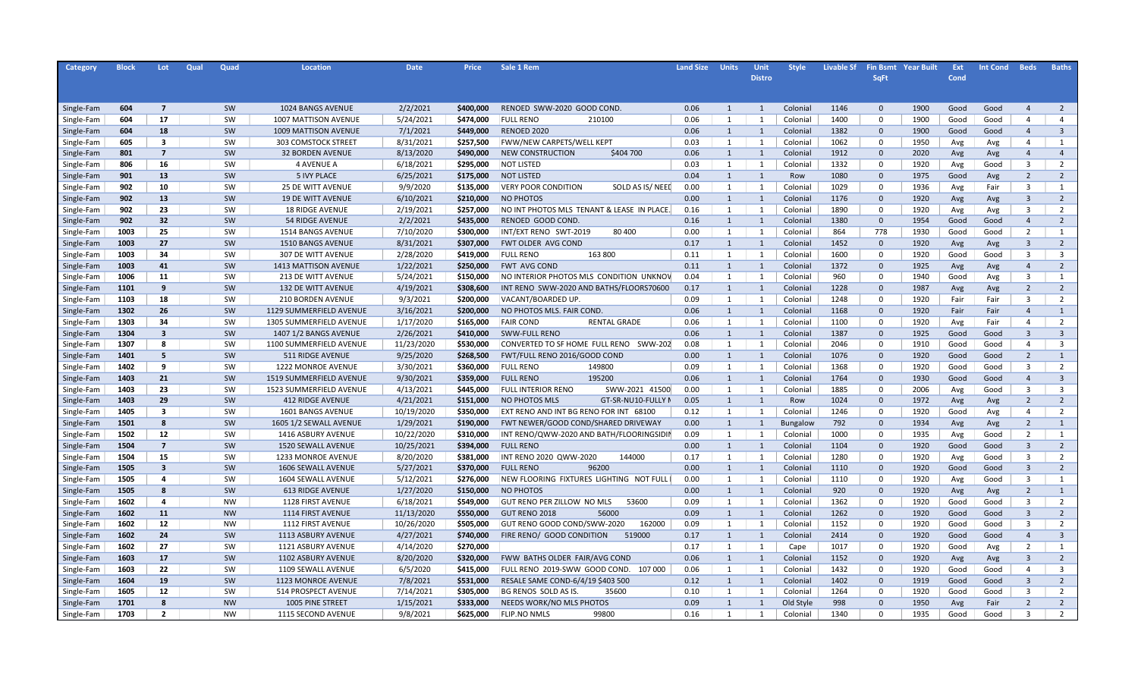| Category   | <b>Block</b> | Lot                     | Qual | Quad      | Location                 | <b>Date</b> | <b>Price</b>           | Sale 1 Rem                                    | <b>Land Size</b> | <b>Units</b> | Unit           | <b>Style</b>    | <b>Livable Sf</b> |              | <b>Fin Bsmt Year Built</b> | Ext  | <b>Int Cond</b> | <b>Beds</b>             | <b>Baths</b>   |
|------------|--------------|-------------------------|------|-----------|--------------------------|-------------|------------------------|-----------------------------------------------|------------------|--------------|----------------|-----------------|-------------------|--------------|----------------------------|------|-----------------|-------------------------|----------------|
|            |              |                         |      |           |                          |             |                        |                                               |                  |              | <b>Distro</b>  |                 |                   | <b>SqFt</b>  |                            | Cond |                 |                         |                |
|            |              |                         |      |           |                          |             |                        |                                               |                  |              |                |                 |                   |              |                            |      |                 |                         |                |
|            |              |                         |      |           |                          |             |                        |                                               |                  |              |                |                 |                   |              |                            |      |                 |                         |                |
| Single-Fam | 604          | $\overline{7}$          |      | SW        | 1024 BANGS AVENUE        | 2/2/2021    | \$400,000              | RENOED SWW-2020 GOOD COND.                    | 0.06             | 1            | 1              | Colonial        | 1146              | $\mathbf{0}$ | 1900                       | Good | Good            | $\overline{4}$          | 2              |
| Single-Fam | 604          | 17                      |      | SW        | 1007 MATTISON AVENUE     | 5/24/2021   | \$474,000              | <b>FULL RENO</b><br>210100                    | 0.06             | 1            | 1              | Colonial        | 1400              | $\mathbf 0$  | 1900                       | Good | Good            | $\overline{4}$          | $\overline{4}$ |
| Single-Fam | 604          | 18                      |      | SW        | 1009 MATTISON AVENUE     | 7/1/2021    | \$449,000              | RENOED 2020                                   | 0.06             | 1            | 1              | Colonial        | 1382              | $\mathbf 0$  | 1900                       | Good | Good            | $\overline{4}$          | $\overline{3}$ |
| Single-Fam | 605          | 3                       |      | SW        | 303 COMSTOCK STREET      | 8/31/2021   | \$257,500              | FWW/NEW CARPETS/WELL KEPT                     | 0.03             | 1            | 1              | Colonial        | 1062              | $\mathbf 0$  | 1950                       | Avg  | Avg             | $\overline{4}$          | 1              |
| Single-Fam | 801          | $\overline{7}$          |      | SW        | <b>32 BORDEN AVENUE</b>  | 8/13/2020   | \$490,000              | NEW CONSTRUCTION<br>\$404 700                 | 0.06             | 1            | 1              | Colonial        | 1912              | $\mathbf 0$  | 2020                       | Avg  | Avg             | $\overline{4}$          | $\overline{4}$ |
| Single-Fam | 806          | 16                      |      | SW        | <b>4 AVENUE A</b>        | 6/18/2021   | \$295,000              | <b>NOT LISTED</b>                             | 0.03             | 1            | 1              | Colonial        | 1332              | $\mathbf 0$  | 1920                       | Avg  | Good            | $\overline{3}$          | 2              |
| Single-Fam | 901          | 13                      |      | SW        | <b>5 IVY PLACE</b>       | 6/25/2021   | \$175,000              | <b>NOT LISTED</b>                             | 0.04             | 1            | 1              | Row             | 1080              | $\mathbf{0}$ | 1975                       | Good | Avg             | $\overline{2}$          | $\overline{2}$ |
| Single-Fam | 902          | 10                      |      | SW        | <b>25 DE WITT AVENUE</b> | 9/9/2020    | \$135,000              | <b>VERY POOR CONDITION</b><br>SOLD AS IS/NEED | 0.00             | 1            | 1              | Colonial        | 1029              | $\mathbf 0$  | 1936                       | Avg  | Fair            | $\overline{\mathbf{3}}$ | 1              |
| Single-Fam | 902          | 13                      |      | SW        | <b>19 DE WITT AVENUE</b> | 6/10/2021   | \$210,000              | <b>NO PHOTOS</b>                              | 0.00             | 1            | 1              | Colonial        | 1176              | $\mathbf{0}$ | 1920                       | Avg  | Avg             | $\overline{3}$          | $\overline{2}$ |
| Single-Fam | 902          | 23                      |      | SW        | <b>18 RIDGE AVENUE</b>   | 2/19/2021   | \$257,000              | NO INT PHOTOS MLS TENANT & LEASE IN PLACE.    | 0.16             | 1            | 1              | Colonial        | 1890              | $\Omega$     | 1920                       | Avg  | Avg             | $\overline{3}$          | $\overline{2}$ |
| Single-Fam | 902          | 32                      |      | SW        | <b>54 RIDGE AVENUE</b>   | 2/2/2021    | \$435,000              | RENOED GOOD COND.                             | 0.16             | $\mathbf{1}$ | 1              | Colonial        | 1380              | $\mathbf{0}$ | 1954                       | Good | Good            | $\overline{4}$          | $\overline{2}$ |
| Single-Fam | 1003         | 25                      |      | SW        | 1514 BANGS AVENUE        | 7/10/2020   | \$300,000              | INT/EXT RENO SWT-2019<br>80 400               | 0.00             | 1            | 1              | Colonial        | 864               | 778          | 1930                       | Good | Good            | $\overline{2}$          | $\mathbf{1}$   |
| Single-Fam | 1003         | 27                      |      | SW        | 1510 BANGS AVENUE        | 8/31/2021   | \$307,000              | FWT OLDER AVG COND                            | 0.17             | $\mathbf{1}$ | 1              | Colonial        | 1452              | $\mathbf 0$  | 1920                       | Avg  | Avg             | $\overline{3}$          | $\overline{2}$ |
| Single-Fam | 1003         | 34                      |      | SW        | 307 DE WITT AVENUE       | 2/28/2020   | \$419,000              | <b>FULL RENO</b><br>163 800                   | 0.11             | 1            | 1              | Colonial        | 1600              | $\mathbf 0$  | 1920                       | Good | Good            | $\overline{3}$          | $\overline{3}$ |
| Single-Fam | 1003         | 41                      |      | SW        | 1413 MATTISON AVENUE     | 1/22/2021   | \$250,000              | <b>FWT AVG COND</b>                           | 0.11             | $\mathbf{1}$ | 1              | Colonial        | 1372              | $\mathbf{0}$ | 1925                       | Avg  | Avg             | $\overline{4}$          | $\overline{2}$ |
| Single-Fam | 1006         | 11                      |      | SW        | 213 DE WITT AVENUE       | 5/24/2021   | \$150,000              | NO INTERIOR PHOTOS MLS CONDITION UNKNOV       | 0.04             | 1            | $\overline{1}$ | Colonial        | 960               | $\mathbf 0$  | 1940                       | Good | Avg             | $\overline{3}$          | $\mathbf{1}$   |
| Single-Fam | 1101         | 9                       |      | SW        | 132 DE WITT AVENUE       | 4/19/2021   | \$308,600              | INT RENO SWW-2020 AND BATHS/FLOORS70600       | 0.17             | $\mathbf{1}$ | 1              | Colonial        | 1228              | $\Omega$     | 1987                       | Avg  | Avg             | $\overline{2}$          | $\overline{2}$ |
| Single-Fam | 1103         | 18                      |      | SW        | 210 BORDEN AVENUE        | 9/3/2021    | \$200,000              | VACANT/BOARDED UP.                            | 0.09             | 1            | $\overline{1}$ | Colonial        | 1248              | 0            | 1920                       | Fair | Fair            | $\overline{3}$          | $\overline{2}$ |
| Single-Fam | 1302         | 26                      |      | SW        | 1129 SUMMERFIELD AVENUE  | 3/16/2021   | \$200,000              | NO PHOTOS MLS. FAIR COND                      | 0.06             | $\mathbf{1}$ | 1              | Colonial        | 1168              | $\mathbf 0$  | 1920                       | Fair | Fair            | $\overline{4}$          | $\mathbf{1}$   |
| Single-Fam | 1303         | 34                      |      | SW        | 1305 SUMMERFIELD AVENUE  | 1/17/2020   | \$165,000              | <b>FAIR COND</b><br>RENTAL GRADE              | 0.06             | 1            | $\overline{1}$ | Colonial        | 1100              | 0            | 1920                       | Avg  | Fair            | $\overline{4}$          | $\overline{2}$ |
| Single-Fam | 1304         | $\overline{\mathbf{3}}$ |      | SW        | 1407 1/2 BANGS AVENUE    | 2/26/2021   | \$410,000              | <b>SWW-FULL RENO</b>                          | 0.06             | $\mathbf{1}$ | 1              | Colonial        | 1387              | $\mathbf{0}$ | 1925                       | Good | Good            | $\overline{3}$          | $\overline{3}$ |
| Single-Fam | 1307         | 8                       |      | SW        | 1100 SUMMERFIELD AVENUE  | 11/23/2020  | \$530,000              | CONVERTED TO SF HOME FULL RENO<br>SWW-202     | 0.08             | 1            | 1              | Colonial        | 2046              | $\mathbf 0$  | 1910                       | Good | Good            | $\overline{4}$          | $\overline{3}$ |
| Single-Fam | 1401         | 5                       |      | SW        | 511 RIDGE AVENUE         | 9/25/2020   | \$268,500              | FWT/FULL RENO 2016/GOOD COND                  | 0.00             | $\mathbf{1}$ | 1              | Colonial        | 1076              | $\mathbf 0$  | 1920                       | Good | Good            | $\overline{2}$          | 1              |
| Single-Fam | 1402         | q                       |      | SW        | 1222 MONROE AVENUE       | 3/30/2021   | \$360,000              | <b>FULL RENO</b><br>149800                    | 0.09             | 1            | $\overline{1}$ | Colonial        | 1368              | $\Omega$     | 1920                       | Good | Good            | $\overline{3}$          | $\overline{2}$ |
| Single-Fam | 1403         | 21                      |      | SW        | 1519 SUMMERFIELD AVENUE  | 9/30/2021   | \$359,000              | 195200<br><b>FULL RENO</b>                    | 0.06             | $\mathbf{1}$ | 1              | Colonial        | 1764              | $\mathbf{0}$ | 1930                       | Good | Good            | $\overline{4}$          | $\overline{3}$ |
|            | 1403         | 23                      |      | SW        | 1523 SUMMERFIELD AVENUE  | 4/13/2021   | \$445,000              | <b>FULL INTERIOR RENO</b><br>SWW-2021 41500   | 0.00             | 1            | $\mathbf{1}$   | Colonial        | 1885              | $\Omega$     | 2006                       |      | Good            | $\overline{3}$          | $\overline{3}$ |
| Single-Fam | 1403         | 29                      |      | SW        | <b>412 RIDGE AVENUE</b>  | 4/21/2021   |                        | NO PHOTOS MLS<br>GT-SR-NU10-FULLY N           | 0.05             | 1            | 1              | Row             | 1024              | $\mathbf 0$  | 1972                       | Avg  |                 | $\overline{2}$          | $\overline{2}$ |
| Single-Fam | 1405         | $\overline{\mathbf{3}}$ |      | SW        |                          |             | \$151,000<br>\$350,000 | EXT RENO AND INT BG RENO FOR INT 68100        | 0.12             | 1            | 1              |                 |                   | $\mathbf 0$  |                            | Avg  | Avg             | $\overline{4}$          | $\overline{2}$ |
| Single-Fam |              | 8                       |      | SW        | 1601 BANGS AVENUE        | 10/19/2020  |                        |                                               | 0.00             |              |                | Colonial        | 1246              | $\mathbf 0$  | 1920<br>1934               | Good | Avg             |                         | $\mathbf{1}$   |
| Single-Fam | 1501         |                         |      |           | 1605 1/2 SEWALL AVENUE   | 1/29/2021   | \$190,000              | FWT NEWER/GOOD COND/SHARED DRIVEWAY           |                  | $\mathbf{1}$ | -1             | <b>Bungalow</b> | 792               |              |                            | Avg  | Avg             | $\overline{2}$          |                |
| Single-Fam | 1502         | 12                      |      | SW        | 1416 ASBURY AVENUE       | 10/22/2020  | \$310,000              | INT RENO/QWW-2020 AND BATH/FLOORINGSIDII      | 0.09             | 1            | $\mathbf{1}$   | Colonial        | 1000              | $\Omega$     | 1935                       | Avg  | Good            | $\overline{2}$          | $\mathbf{1}$   |
| Single-Fam | 1504         | $\overline{7}$          |      | SW        | 1520 SEWALL AVENUE       | 10/25/2021  | \$394,000              | <b>FULL RENO</b>                              | 0.00             | $\mathbf{1}$ | 1              | Colonial        | 1104              | $\mathbf 0$  | 1920                       | Good | Good            | $\overline{3}$          | $\overline{2}$ |
| Single-Fam | 1504         | 15                      |      | SW        | 1233 MONROE AVENUE       | 8/20/2020   | \$381,000              | INT RENO 2020 QWW-2020<br>144000              | 0.17             | 1            | $\mathbf{1}$   | Colonial        | 1280              | $\Omega$     | 1920                       | Avg  | Good            | $\overline{\mathbf{3}}$ | $\overline{2}$ |
| Single-Fam | 1505         | $\overline{3}$          |      | SW        | 1606 SEWALL AVENUE       | 5/27/2021   | \$370,000              | <b>FULL RENO</b><br>96200                     | 0.00             | $\mathbf{1}$ | $\overline{1}$ | Colonial        | 1110              | $\mathbf 0$  | 1920                       | Good | Good            | $\overline{3}$          | $\overline{2}$ |
| Single-Fam | 1505         | $\overline{\mathbf{a}}$ |      | SW        | 1604 SEWALL AVENUE       | 5/12/2021   | \$276,000              | NEW FLOORING FIXTURES LIGHTING NOT FULL       | 0.00             | 1            | 1              | Colonial        | 1110              | $\Omega$     | 1920                       | Avg  | Good            | $\overline{\mathbf{3}}$ | 1              |
| Single-Fam | 1505         | 8                       |      | SW        | <b>613 RIDGE AVENUE</b>  | 1/27/2020   | \$150,000              | NO PHOTOS                                     | 0.00             | $\mathbf{1}$ | $\overline{1}$ | Colonial        | 920               | $\mathbf 0$  | 1920                       | Avg  | Avg             | $\overline{2}$          | $\mathbf{1}$   |
| Single-Fam | 1602         | $\overline{\mathbf{a}}$ |      | <b>NW</b> | 1128 FIRST AVENUE        | 6/18/2021   | \$549,000              | GUT RENO PER ZILLOW NO MLS<br>53600           | 0.09             | 1            | 1              | Colonial        | 1362              | $\Omega$     | 1920                       | Good | Good            | $\overline{\mathbf{3}}$ | $\overline{2}$ |
| Single-Fam | 1602         | 11                      |      | <b>NW</b> | 1114 FIRST AVENUE        | 11/13/2020  | \$550,000              | 56000<br>GUT RENO 2018                        | 0.09             | $\mathbf{1}$ | $\overline{1}$ | Colonial        | 1262              | $\mathbf 0$  | 1920                       | Good | Good            | $\overline{3}$          | $\overline{2}$ |
| Single-Fam | 1602         | 12                      |      | <b>NW</b> | 1112 FIRST AVENUE        | 10/26/2020  | \$505,000              | 162000<br>GUT RENO GOOD COND/SWW-2020         | 0.09             | 1            | 1              | Colonial        | 1152              | $\Omega$     | 1920                       | Good | Good            | $\overline{\mathbf{3}}$ | $\overline{2}$ |
| Single-Fam | 1602         | 24                      |      | SW        | 1113 ASBURY AVENUE       | 4/27/2021   | \$740,000              | FIRE RENO/ GOOD CONDITION<br>519000           | 0.17             | 1            | 1              | Colonial        | 2414              | $\mathbf{0}$ | 1920                       | Good | Good            | $\overline{4}$          | $\overline{3}$ |
| Single-Fam | 1602         | 27                      |      | SW        | 1121 ASBURY AVENUE       | 4/14/2020   | \$270,000              |                                               | 0.17             | 1            | 1              | Cape            | 1017              | $\mathbf 0$  | 1920                       | Good | Avg             | $\overline{2}$          | 1              |
| Single-Fam | 1603         | 17                      |      | SW        | 1102 ASBURY AVENUE       | 8/20/2020   | \$320,000              | FWW BATHS OLDER FAIR/AVG COND                 | 0.06             | 1            | 1              | Colonial        | 1152              | $\mathbf{0}$ | 1920                       | Avg  | Avg             | $\overline{3}$          | $\overline{2}$ |
| Single-Fam | 1603         | 22                      |      | SW        | 1109 SEWALL AVENUE       | 6/5/2020    | \$415,000              | FULL RENO 2019-SWW GOOD COND.<br>107 000      | 0.06             | 1            | 1              | Colonial        | 1432              | $\mathbf 0$  | 1920                       | Good | Good            | $\overline{4}$          | 3              |
| Single-Fam | 1604         | 19                      |      | SW        | 1123 MONROE AVENUE       | 7/8/2021    | \$531,000              | RESALE SAME COND-6/4/19 \$403 500             | 0.12             | 1            | 1              | Colonial        | 1402              | $\mathbf{0}$ | 1919                       | Good | Good            | $\overline{3}$          | $\overline{2}$ |
| Single-Fam | 1605         | 12                      |      | SW        | 514 PROSPECT AVENUE      | 7/14/2021   | \$305,000              | 35600<br>BG RENOS SOLD AS IS.                 | 0.10             | 1            | $\mathbf{1}$   | Colonial        | 1264              | $\Omega$     | 1920                       | Good | Good            | $\overline{3}$          | $\overline{2}$ |
| Single-Fam | 1701         | 8                       |      | <b>NW</b> | 1005 PINE STREET         | 1/15/2021   | \$333,000              | NEEDS WORK/NO MLS PHOTOS                      | 0.09             | 1            | $\overline{1}$ | Old Style       | 998               | $\Omega$     | 1950                       | Avg  | Fair            | $\overline{2}$          | $\overline{2}$ |
| Single-Fam | 1703         | $\overline{2}$          |      | <b>NW</b> | 1115 SECOND AVENUE       | 9/8/2021    | \$625,000              | <b>FLIP.NO NMLS</b><br>99800                  | 0.16             | $\mathbf{1}$ | $\mathbf{1}$   | Colonial        | 1340              | $\Omega$     | 1935                       | Good | Good            | $\overline{3}$          | $\overline{2}$ |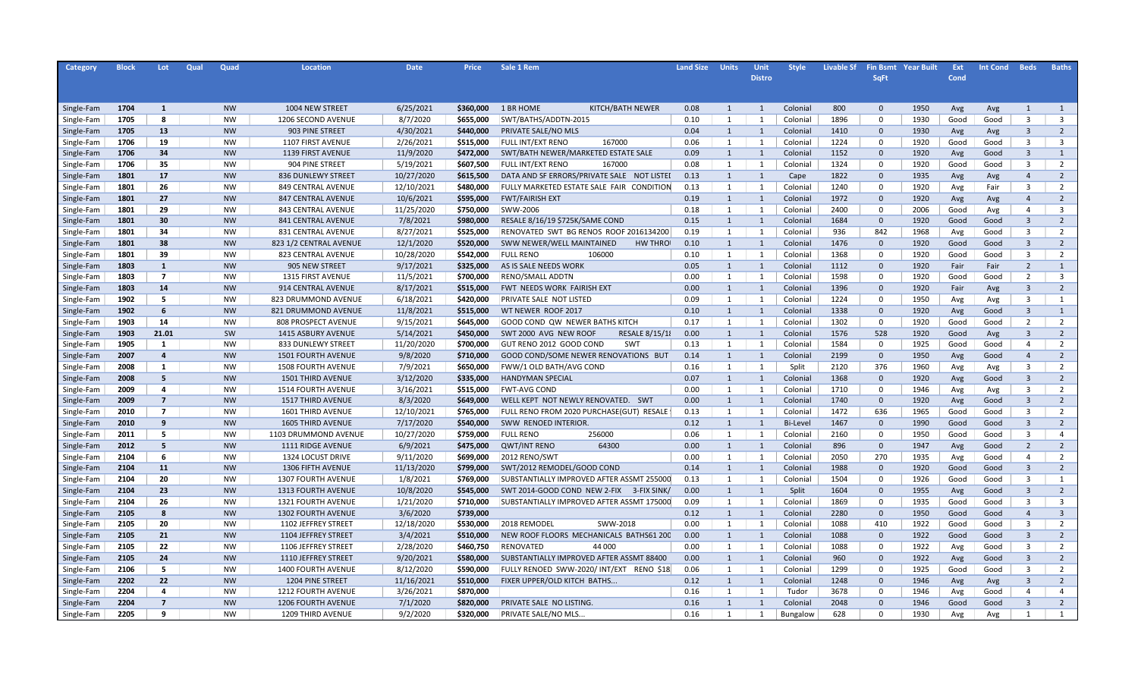| Category   | <b>Block</b> | Lot            | Qual | Quad      | Location                  | <b>Date</b> | Price                  | Sale 1 Rem                                                       | <b>Land Size</b> | <b>Units</b>   | Unit           | <b>Style</b>    | <b>Livable Sf</b> |              | <b>Fin Bsmt Year Built</b> | Ext          | <b>Int Cond</b> | <b>Beds</b>             | <b>Baths</b>            |
|------------|--------------|----------------|------|-----------|---------------------------|-------------|------------------------|------------------------------------------------------------------|------------------|----------------|----------------|-----------------|-------------------|--------------|----------------------------|--------------|-----------------|-------------------------|-------------------------|
|            |              |                |      |           |                           |             |                        |                                                                  |                  |                | <b>Distro</b>  |                 |                   | <b>SqFt</b>  |                            | Cond         |                 |                         |                         |
|            |              |                |      |           |                           |             |                        |                                                                  |                  |                |                |                 |                   |              |                            |              |                 |                         |                         |
|            |              |                |      |           |                           |             |                        |                                                                  |                  |                |                |                 |                   |              |                            |              |                 |                         |                         |
| Single-Fam | 1704         | $\mathbf{1}$   |      | <b>NW</b> | 1004 NEW STREET           | 6/25/2021   | \$360,000              | 1 BR HOME<br>KITCH/BATH NEWER                                    | 0.08             | 1              | 1              | Colonial        | 800               | $\mathbf{0}$ | 1950                       | Avg          | Avg             | $\mathbf{1}$            | 1                       |
| Single-Fam | 1705         | 8              |      | <b>NW</b> | 1206 SECOND AVENUE        | 8/7/2020    | \$655,000              | SWT/BATHS/ADDTN-2015                                             | 0.10             | 1              | 1              | Colonial        | 1896              | $\mathbf 0$  | 1930                       | Good         | Good            | $\overline{3}$          | $\overline{3}$          |
| Single-Fam | 1705         | 13             |      | <b>NW</b> | 903 PINE STREET           | 4/30/2021   | \$440,000              | PRIVATE SALE/NO MLS                                              | 0.04             | 1              | 1              | Colonial        | 1410              | $\mathbf 0$  | 1930                       | Avg          | Avg             | $\overline{3}$          | $\overline{2}$          |
| Single-Fam | 1706         | 19             |      | <b>NW</b> | 1107 FIRST AVENUE         | 2/26/2021   | \$515,000              | <b>FULL INT/EXT RENO</b><br>167000                               | 0.06             | 1              | 1              | Colonial        | 1224              | $\Omega$     | 1920                       | Good         | Good            | $\overline{\mathbf{3}}$ | $\overline{\mathbf{3}}$ |
| Single-Fam | 1706         | 34             |      | <b>NW</b> | 1139 FIRST AVENUE         | 11/9/2020   | \$472,000              | SWT/BATH NEWER/MARKETED ESTATE SALE                              | 0.09             | $\mathbf{1}$   | $\overline{1}$ | Colonial        | 1152              | $\mathbf 0$  | 1920                       | Avg          | Good            | $\overline{3}$          | $\mathbf{1}$            |
| Single-Fam | 1706         | 35             |      | <b>NW</b> | 904 PINE STREET           | 5/19/2021   | \$607,500              | 167000<br>FULL INT/EXT RENO                                      | 0.08             | 1              | 1              | Colonial        | 1324              | $\Omega$     | 1920                       | Good         | Good            | $\overline{3}$          | 2                       |
| Single-Fam | 1801         | 17             |      | <b>NW</b> | 836 DUNLEWY STREET        | 10/27/2020  | \$615,500              | DATA AND SF ERRORS/PRIVATE SALE NOT LISTED                       | 0.13             | $\mathbf{1}$   | $\mathbf{1}$   | Cape            | 1822              | $\mathbf 0$  | 1935                       | Avg          | Avg             | $\overline{4}$          | $\overline{2}$          |
| Single-Fam | 1801         | 26             |      | <b>NW</b> | 849 CENTRAL AVENUE        | 12/10/2021  | \$480,000              | FULLY MARKETED ESTATE SALE FAIR CONDITION                        | 0.13             | 1              | 1              | Colonial        | 1240              | $\mathbf 0$  | 1920                       | Avg          | Fair            | $\overline{\mathbf{3}}$ | 2                       |
| Single-Fam | 1801         | 27             |      | <b>NW</b> | 847 CENTRAL AVENUE        | 10/6/2021   | \$595,000              | <b>FWT/FAIRISH EXT</b>                                           | 0.19             | $\mathbf{1}$   | $\overline{1}$ | Colonial        | 1972              | $\mathbf 0$  | 1920                       | Avg          | Avg             | $\overline{4}$          | $\overline{2}$          |
| Single-Fam | 1801         | 29             |      | <b>NW</b> | 843 CENTRAL AVENUE        | 11/25/2020  | \$750,000              | SWW-2006                                                         | 0.18             | 1              | $\overline{1}$ | Colonial        | 2400              | $\mathbf 0$  | 2006                       | Good         | Avg             | $\overline{4}$          | $\overline{\mathbf{3}}$ |
| Single-Fam | 1801         | 30             |      | <b>NW</b> | 841 CENTRAL AVENUE        | 7/8/2021    | \$980,000              | RESALE 8/16/19 \$725K/SAME COND                                  | 0.15             | $\mathbf{1}$   | 1              | Colonial        | 1684              | $\mathbf 0$  | 1920                       | Good         | Good            | $\overline{3}$          | $\overline{2}$          |
| Single-Fam | 1801         | 34             |      | <b>NW</b> | 831 CENTRAL AVENUE        | 8/27/2021   | \$525,000              | RENOVATED SWT BG RENOS ROOF 2016134200                           | 0.19             | 1              | 1              | Colonial        | 936               | 842          | 1968                       | Avg          | Good            | $\overline{3}$          | $\overline{2}$          |
| Single-Fam | 1801         | 38             |      | <b>NW</b> | 823 1/2 CENTRAL AVENUE    | 12/1/2020   | \$520,000              | SWW NEWER/WELL MAINTAINED<br><b>HW THRO</b>                      | 0.10             | $\mathbf{1}$   | 1              | Colonial        | 1476              | $\mathbf 0$  | 1920                       | Good         | Good            | $\overline{3}$          | $\overline{2}$          |
| Single-Fam | 1801         | 39             |      | <b>NW</b> | 823 CENTRAL AVENUE        | 10/28/2020  | \$542,000              | 106000<br><b>FULL RENO</b>                                       | 0.10             | 1              | 1              | Colonial        | 1368              | $\mathbf 0$  | 1920                       | Good         | Good            | $\overline{3}$          | $\overline{2}$          |
| Single-Fam | 1803         | $\mathbf{1}$   |      | <b>NW</b> | 905 NEW STREET            | 9/17/2021   | \$325,000              | AS IS SALE NEEDS WORK                                            | 0.05             | $\mathbf{1}$   | 1              | Colonial        | 1112              | $\mathbf 0$  | 1920                       | Fair         | Fair            | $\overline{2}$          | $\mathbf{1}$            |
| Single-Fam | 1803         | $\overline{7}$ |      | <b>NW</b> | <b>1315 FIRST AVENUE</b>  | 11/5/2021   | \$700,000              | RENO/SMALL ADDTN                                                 | 0.00             | 1              | 1              | Colonial        | 1598              | $\mathbf 0$  | 1920                       | Good         | Good            | $\overline{2}$          | $\overline{\mathbf{3}}$ |
| Single-Fam | 1803         | 14             |      | <b>NW</b> | 914 CENTRAL AVENUE        | 8/17/2021   | \$515,000              | FWT NEEDS WORK FAIRISH EXT                                       | 0.00             | $\mathbf{1}$   | 1              | Colonial        | 1396              | $\mathbf 0$  | 1920                       | Fair         | Avg             | $\overline{3}$          | $\overline{2}$          |
| Single-Fam | 1902         | 5.             |      | <b>NW</b> | 823 DRUMMOND AVENUE       | 6/18/2021   | \$420,000              | PRIVATE SALE NOT LISTED                                          | 0.09             | 1              | 1              | Colonial        | 1224              | $\mathbf 0$  | 1950                       | Avg          | Avg             | $\overline{3}$          | 1                       |
| Single-Fam | 1902         | 6              |      | <b>NW</b> | 821 DRUMMOND AVENUE       | 11/8/2021   | \$515,000              | WT NEWER ROOF 2017                                               | 0.10             | $\mathbf{1}$   | 1              | Colonial        | 1338              | $\mathbf 0$  | 1920                       | Avg          | Good            | $\overline{3}$          | $\mathbf{1}$            |
| Single-Fam | 1903         | 14             |      | <b>NW</b> | 808 PROSPECT AVENUE       | 9/15/2021   | \$645,000              | GOOD COND QW NEWER BATHS KITCH                                   | 0.17             | 1              | 1              | Colonial        | 1302              | $\mathbf 0$  | 1920                       | Good         | Good            | $\overline{2}$          | $\overline{2}$          |
| Single-Fam | 1903         | 21.01          |      | SW        | <b>1415 ASBURY AVENUE</b> | 5/14/2021   | \$450,000              | <b>RESALE 8/15/18</b><br>SWT 2000 AVG NEW ROOF                   | 0.00             | $\mathbf{1}$   | $\overline{1}$ | Colonial        | 1576              | 528          | 1920                       | Good         | Avg             | $\overline{3}$          | $\overline{2}$          |
| Single-Fam | 1905         | 1              |      | <b>NW</b> | 833 DUNLEWY STREET        | 11/20/2020  | \$700,000              | SW <sub>1</sub><br>GUT RENO 2012 GOOD COND                       | 0.13             | 1              | 1              | Colonial        | 1584              | $\Omega$     | 1925                       | Good         | Good            | $\overline{4}$          | $\overline{2}$          |
| Single-Fam | 2007         | $\overline{a}$ |      | <b>NW</b> | <b>1501 FOURTH AVENUE</b> | 9/8/2020    | \$710,000              | GOOD COND/SOME NEWER RENOVATIONS BUT                             | 0.14             | $\mathbf{1}$   | 1              | Colonial        | 2199              | $\mathbf{0}$ | 1950                       | Avg          | Good            | $\overline{4}$          | $\overline{2}$          |
| Single-Fam | 2008         | 1              |      | <b>NW</b> | <b>1508 FOURTH AVENUE</b> | 7/9/2021    | \$650,000              | FWW/1 OLD BATH/AVG COND                                          | 0.16             | 1              | 1              | Split           | 2120              | 376          | 1960                       | Avg          | Avg             | $\overline{\mathbf{3}}$ | $\overline{2}$          |
| Single-Fam | 2008         | 5              |      | <b>NW</b> | 1501 THIRD AVENUE         | 3/12/2020   | \$335,000              | <b>HANDYMAN SPECIAL</b>                                          | 0.07             | 1              | 1              | Colonial        | 1368              | $\mathbf{0}$ | 1920                       | Avg          | Good            | $\overline{3}$          | $\overline{2}$          |
| Single-Fam | 2009         | 4              |      | <b>NW</b> | <b>1514 FOURTH AVENUE</b> | 3/16/2021   | \$515,000              | <b>FWT-AVG COND</b>                                              | 0.00             | 1              | 1              | Colonial        | 1710              | $\mathbf 0$  | 1946                       | Avg          | Avg             | $\overline{3}$          | $\overline{2}$          |
|            | 2009         | $\overline{7}$ |      | <b>NW</b> | 1517 THIRD AVENUE         | 8/3/2020    | \$649,000              | WELL KEPT NOT NEWLY RENOVATED. SWT                               | 0.00             | 1              | 1              | Colonial        | 1740              | $\mathbf{0}$ | 1920                       | Avg          | Good            | $\overline{3}$          | $\overline{2}$          |
| Single-Fam | 2010         | $\overline{7}$ |      | <b>NW</b> |                           | 12/10/2021  |                        |                                                                  | 0.13             | 1              | 1              |                 | 1472              | 636          | 1965                       |              |                 | $\overline{3}$          | $\overline{2}$          |
| Single-Fam | 2010         | 9              |      | <b>NW</b> | <b>1601 THIRD AVENUE</b>  | 7/17/2020   | \$765,000<br>\$540,000 | FULL RENO FROM 2020 PURCHASE(GUT) RESALE<br>SWW RENOED INTERIOR. | 0.12             | 1              | $\mathbf{1}$   | Colonial        | 1467              | $\Omega$     | 1990                       | Good<br>Good | Good            | $\overline{3}$          | $\overline{2}$          |
| Single-Fam |              | 5              |      | <b>NW</b> | <b>1605 THIRD AVENUE</b>  |             |                        |                                                                  |                  |                |                | <b>Bi-Level</b> |                   |              |                            |              | Good            | $\overline{3}$          | $\overline{4}$          |
| Single-Fam | 2011         |                |      |           | 1103 DRUMMOND AVENUE      | 10/27/2020  | \$759,000              | <b>FULL RENO</b><br>256000                                       | 0.06             | 1              | 1              | Colonial        | 2160              | $\Omega$     | 1950                       | Good         | Good            |                         |                         |
| Single-Fam | 2012         | 5              |      | <b>NW</b> | 1111 RIDGE AVENUE         | 6/9/2021    | \$475,000              | 64300<br><b>QWT/INT RENO</b>                                     | 0.00             | 1              | $\overline{1}$ | Colonial        | 896               | $\mathbf{0}$ | 1947                       | Avg          | Good            | $\overline{2}$          | $\overline{2}$          |
| Single-Fam | 2104         | 6              |      | NW        | 1324 LOCUST DRIVE         | 9/11/2020   | \$699,000              | 2012 RENO/SWT                                                    | 0.00             | 1              | 1              | Colonial        | 2050              | 270          | 1935                       | Avg          | Good            | $\overline{4}$          | $\overline{2}$          |
| Single-Fam | 2104         | 11             |      | <b>NW</b> | 1306 FIFTH AVENUE         | 11/13/2020  | \$799,000              | SWT/2012 REMODEL/GOOD COND                                       | 0.14             | 1              | $\overline{1}$ | Colonial        | 1988              | $\mathbf{0}$ | 1920                       | Good         | Good            | $\overline{3}$          | $\overline{2}$          |
| Single-Fam | 2104         | 20             |      | <b>NW</b> | <b>1307 FOURTH AVENUE</b> | 1/8/2021    | \$769,000              | SUBSTANTIALLY IMPROVED AFTER ASSMT 255000                        | 0.13             | 1              | 1              | Colonial        | 1504              | $\Omega$     | 1926                       | Good         | Good            | $\overline{3}$          | $\mathbf{1}$            |
| Single-Fam | 2104         | 23             |      | <b>NW</b> | <b>1313 FOURTH AVENUE</b> | 10/8/2020   | \$545,000              | SWT 2014-GOOD COND NEW 2-FIX 3-FIX SINK/                         | 0.00             | $\mathbf{1}$   | 1              | Split           | 1604              | $\mathbf 0$  | 1955                       | Avg          | Good            | $\overline{3}$          | $\overline{2}$          |
| Single-Fam | 2104         | 26             |      | <b>NW</b> | 1321 FOURTH AVENUE        | 1/21/2020   | \$710,000              | SUBSTANTIALLY IMPROVED AFTER ASSMT 175000                        | 0.09             | 1              | -1             | Colonial        | 1869              | $\Omega$     | 1935                       | Good         | Good            | $\overline{3}$          | $\overline{\mathbf{3}}$ |
| Single-Fam | 2105         | 8              |      | <b>NW</b> | <b>1302 FOURTH AVENUE</b> | 3/6/2020    | \$739,000              |                                                                  | 0.12             | $\mathbf{1}$   | 1              | Colonial        | 2280              | $\mathbf{0}$ | 1950                       | Good         | Good            | $\overline{4}$          | $\overline{3}$          |
| Single-Fam | 2105         | 20             |      | <b>NW</b> | 1102 JEFFREY STREET       | 12/18/2020  | \$530,000              | 2018 REMODEL<br>SWW-2018                                         | 0.00             | 1              | 1              | Colonial        | 1088              | 410          | 1922                       | Good         | Good            | $\overline{3}$          | $\overline{2}$          |
| Single-Fam | 2105         | 21             |      | <b>NW</b> | 1104 JEFFREY STREET       | 3/4/2021    | \$510,000              | NEW ROOF FLOORS MECHANICALS BATHS61 200                          | 0.00             | $\mathbf{1}$   | 1              | Colonial        | 1088              | $\mathbf{0}$ | 1922                       | Good         | Good            | $\overline{3}$          | $\overline{2}$          |
| Single-Fam | 2105         | 22             |      | NW        | 1106 JEFFREY STREET       | 2/28/2020   | \$460,750              | 44 000<br>RENOVATED                                              | 0.00             | 1              | $\overline{1}$ | Colonial        | 1088              | $\Omega$     | 1922                       | Avg          | Good            | $\overline{3}$          | $\overline{2}$          |
| Single-Fam | 2105         | 24             |      | <b>NW</b> | 1110 JEFFREY STREET       | 9/20/2021   | \$580,000              | SUBSTANTIALLY IMPROVED AFTER ASSMT 88400                         | 0.00             | $\mathbf{1}$   | 1              | Colonial        | 960               | $\Omega$     | 1922                       | Avg          | Good            | $\overline{\mathbf{3}}$ | $\overline{2}$          |
| Single-Fam | 2106         | 5              |      | <b>NW</b> | 1400 FOURTH AVENUE        | 8/12/2020   | \$590,000              | FULLY RENOED SWW-2020/INT/EXT RENO \$18                          | 0.06             | 1              | $\overline{1}$ | Colonial        | 1299              | $\Omega$     | 1925                       | Good         | Good            | $\overline{3}$          | $\overline{2}$          |
| Single-Fam | 2202         | 22             |      | <b>NW</b> | 1204 PINE STREET          | 11/16/2021  | \$510,000              | FIXER UPPER/OLD KITCH BATHS                                      | 0.12             | $\mathbf{1}$   | $\mathbf{1}$   | Colonial        | 1248              | $\mathbf 0$  | 1946                       | Avg          | Avg             | $\overline{\mathbf{3}}$ | $\overline{2}$          |
| Single-Fam | 2204         | $\Delta$       |      | <b>NW</b> | 1212 FOURTH AVENUE        | 3/26/2021   | \$870,000              |                                                                  | 0.16             | 1              | $\overline{1}$ | Tudor           | 3678              | $\Omega$     | 1946                       | Avg          | Good            | $\overline{4}$          | $\overline{4}$          |
| Single-Fam | 2204         | $\mathbf{z}$   |      | <b>NW</b> | <b>1206 FOURTH AVENUE</b> | 7/1/2020    | \$820,000              | PRIVATE SALE NO LISTING.                                         | 0.16             | 1              | $\overline{1}$ | Colonial        | 2048              | $\Omega$     | 1946                       | Good         | Good            | $\overline{3}$          | $\overline{2}$          |
| Single-Fam | 2205         | q              |      | <b>NW</b> | 1209 THIRD AVENUE         | 9/2/2020    | \$320,000              | PRIVATE SALE/NO MLS.                                             | 0.16             | $\overline{1}$ | $\mathbf{1}$   | Bungalow        | 628               | $\Omega$     | 1930                       | Avg          | Avg             | $\overline{1}$          | 1                       |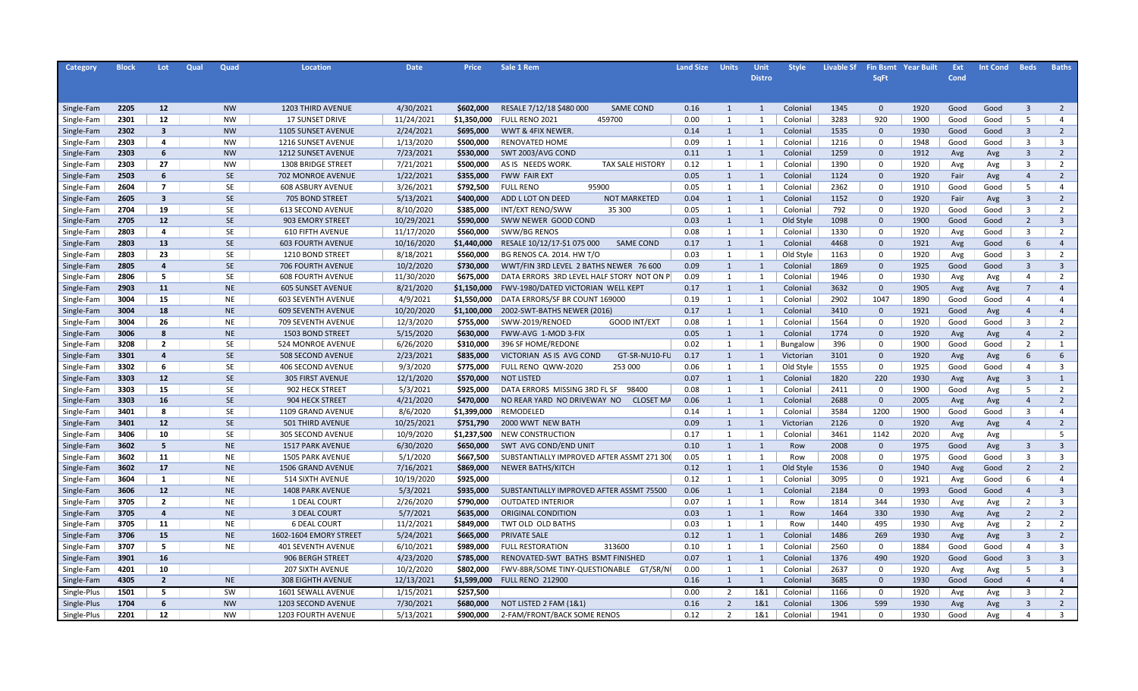| Category    | <b>Block</b> | Lot.                    | Qual | Quad      | Location                  | <b>Date</b> | <b>Price</b> | Sale 1 Rem                                      | <b>Land Size</b> | <b>Units</b>   | Unit           | <b>Style</b> | <b>Livable Sf</b> |              | <b>Fin Bsmt Year Built</b> | Ext  | <b>Int Cond</b> | <b>Beds</b>    | <b>Baths</b>   |
|-------------|--------------|-------------------------|------|-----------|---------------------------|-------------|--------------|-------------------------------------------------|------------------|----------------|----------------|--------------|-------------------|--------------|----------------------------|------|-----------------|----------------|----------------|
|             |              |                         |      |           |                           |             |              |                                                 |                  |                | <b>Distro</b>  |              |                   | <b>SqFt</b>  |                            | Cond |                 |                |                |
|             |              |                         |      |           |                           |             |              |                                                 |                  |                |                |              |                   |              |                            |      |                 |                |                |
|             |              |                         |      |           |                           |             |              |                                                 |                  |                |                |              |                   |              |                            |      |                 |                |                |
| Single-Fam  | 2205         | 12                      |      | <b>NW</b> | 1203 THIRD AVENUE         | 4/30/2021   | \$602,000    | RESALE 7/12/18 \$480 000<br><b>SAME COND</b>    | 0.16             | 1              | $\overline{1}$ | Colonial     | 1345              | $\mathbf{0}$ | 1920                       | Good | Good            | $\overline{3}$ | $\overline{2}$ |
| Single-Fam  | 2301         | 12                      |      | <b>NW</b> | <b>17 SUNSET DRIVE</b>    | 11/24/2021  | \$1,350,000  | FULL RENO 2021<br>459700                        | 0.00             | 1              | $\mathbf{1}$   | Colonial     | 3283              | 920          | 1900                       | Good | Good            | 5              | $\overline{4}$ |
| Single-Fam  | 2302         | $\overline{\mathbf{3}}$ |      | <b>NW</b> | 1105 SUNSET AVENUE        | 2/24/2021   | \$695,000    | WWT & 4FIX NEWER.                               | 0.14             | 1              | $\overline{1}$ | Colonial     | 1535              | $\mathbf 0$  | 1930                       | Good | Good            | $\overline{3}$ | $\overline{2}$ |
| Single-Fam  | 2303         | 4                       |      | <b>NW</b> | 1216 SUNSET AVENUE        | 1/13/2020   | \$500,000    | <b>RENOVATED HOME</b>                           | 0.09             | 1              | $\mathbf{1}$   | Colonial     | 1216              | $\Omega$     | 1948                       | Good | Good            | $\overline{3}$ | 3              |
| Single-Fam  | 2303         | 6                       |      | <b>NW</b> | 1212 SUNSET AVENUE        | 7/23/2021   | \$530,000    | SWT 2003/AVG COND                               | 0.11             | 1              | $\overline{1}$ | Colonial     | 1259              | $\Omega$     | 1912                       | Avg  | Avg             | $\overline{3}$ | $\overline{2}$ |
| Single-Fam  | 2303         | 27                      |      | <b>NW</b> | 1308 BRIDGE STREET        | 7/21/2021   | \$500,000    | AS IS NEEDS WORK.<br><b>TAX SALE HISTORY</b>    | 0.12             | 1              | $\mathbf{1}$   | Colonial     | 1390              | $\Omega$     | 1920                       | Avg  | Avg             | $\overline{3}$ | 2              |
| Single-Fam  | 2503         | 6                       |      | <b>SE</b> | 702 MONROE AVENUE         | 1/22/2021   | \$355,000    | FWW FAIR EXT                                    | 0.05             | $\mathbf{1}$   | $\overline{1}$ | Colonial     | 1124              | $\Omega$     | 1920                       | Fair | Avg             | $\overline{4}$ | $\overline{2}$ |
| Single-Fam  | 2604         | $\overline{7}$          |      | <b>SE</b> | <b>608 ASBURY AVENUE</b>  | 3/26/2021   | \$792,500    | <b>FULL RENO</b><br>95900                       | 0.05             | 1              | $\mathbf{1}$   | Colonial     | 2362              | 0            | 1910                       | Good | Good            | -5             | $\overline{4}$ |
| Single-Fam  | 2605         | $\overline{\mathbf{3}}$ |      | <b>SE</b> | 705 BOND STREET           | 5/13/2021   | \$400,000    | ADD L LOT ON DEED<br><b>NOT MARKETED</b>        | 0.04             | 1              | $\overline{1}$ | Colonial     | 1152              | $\Omega$     | 1920                       | Fair | Avg             | $\overline{3}$ | $\overline{2}$ |
| Single-Fam  | 2704         | 19                      |      | <b>SE</b> | <b>613 SECOND AVENUE</b>  | 8/10/2020   | \$385,000    | 35 300<br>INT/EXT RENO/SWW                      | 0.05             | $\mathbf{1}$   | $\mathbf{1}$   | Colonial     | 792               | $\Omega$     | 1920                       | Good | Good            | $\overline{3}$ | 2              |
| Single-Fam  | 2705         | 12                      |      | SE        | 903 EMORY STREET          | 10/29/2021  | \$590,000    | SWW NEWER GOOD COND                             | 0.03             | 1              | $\overline{1}$ | Old Style    | 1098              | $\Omega$     | 1900                       | Good | Good            | $\overline{2}$ | $\overline{3}$ |
| Single-Fam  | 2803         | 4                       |      | <b>SE</b> | <b>610 FIFTH AVENUE</b>   | 11/17/2020  | \$560,000    | SWW/BG RENOS                                    | 0.08             | $\mathbf{1}$   | $\mathbf{1}$   | Colonial     | 1330              | $\Omega$     | 1920                       | Avg  | Good            | $\overline{3}$ | 2              |
| Single-Fam  | 2803         | 13                      |      | SE        | <b>603 FOURTH AVENUE</b>  | 10/16/2020  | \$1,440,000  | <b>SAME COND</b><br>RESALE 10/12/17-\$1 075 000 | 0.17             | 1              | $\overline{1}$ | Colonial     | 4468              | $\Omega$     | 1921                       | Avg  | Good            | 6              | $\overline{4}$ |
| Single-Fam  | 2803         | 23                      |      | <b>SE</b> | 1210 BOND STREET          | 8/18/2021   | \$560,000    | <b>BG RENOS CA. 2014. HW T/O</b>                | 0.03             | 1              | $\mathbf{1}$   | Old Style    | 1163              | 0            | 1920                       | Avg  | Good            | $\overline{3}$ | 2              |
| Single-Fam  | 2805         | $\overline{a}$          |      | <b>SE</b> | <b>706 FOURTH AVENUE</b>  | 10/2/2020   | \$730,000    | WWT/FIN 3RD LEVEL 2 BATHS NEWER 76 600          | 0.09             | 1              | $\overline{1}$ | Colonial     | 1869              | $\Omega$     | 1925                       | Good | Good            | $\overline{3}$ | $\overline{3}$ |
| Single-Fam  | 2806         | 5                       |      | <b>SE</b> | <b>608 FOURTH AVENUE</b>  | 11/30/2020  | \$675,000    | DATA ERRORS 3RD LEVEL HALF STORY NOT ON P       | 0.09             | 1              | $\mathbf{1}$   | Colonial     | 1946              | 0            | 1930                       | Avg  | Avg             | $\overline{4}$ | 2              |
| Single-Fam  | 2903         | 11                      |      | <b>NE</b> | <b>605 SUNSET AVENUE</b>  | 8/21/2020   | \$1,150,000  | FWV-1980/DATED VICTORIAN WELL KEPT              | 0.17             | 1              | $\overline{1}$ | Colonial     | 3632              | $\Omega$     | 1905                       | Avg  | Avg             | $\overline{7}$ | $\overline{4}$ |
| Single-Fam  | 3004         | 15                      |      | <b>NE</b> | <b>603 SEVENTH AVENUE</b> | 4/9/2021    | \$1,550,000  | DATA ERRORS/SF BR COUNT 169000                  | 0.19             | 1              | $\mathbf{1}$   | Colonial     | 2902              | 1047         | 1890                       | Good | Good            | $\overline{4}$ | $\overline{4}$ |
| Single-Fam  | 3004         | 18                      |      | <b>NE</b> | <b>609 SEVENTH AVENUE</b> | 10/20/2020  | \$1,100,000  | 2002-SWT-BATHS NEWER (2016)                     | 0.17             | 1              | $\overline{1}$ | Colonial     | 3410              | $\mathbf{0}$ | 1921                       | Good | Avg             | $\overline{4}$ | $\overline{4}$ |
| Single-Fam  | 3004         | 26                      |      | <b>NE</b> | 709 SEVENTH AVENUE        | 12/3/2020   | \$755,000    | SWW-2019/RENOED<br>GOOD INT/EXT                 | 0.08             | 1              | 1              | Colonial     | 1564              | 0            | 1920                       | Good | Good            | $\overline{3}$ | $\overline{2}$ |
| Single-Fam  | 3006         | 8                       |      | <b>NE</b> | 1503 BOND STREET          | 5/15/2020   | \$630,000    | FWW-AVG 1-MOD 3-FIX                             | 0.05             | 1              | $\overline{1}$ | Colonial     | 1774              | $\Omega$     | 1920                       | Avg  | Avg             | $\overline{4}$ | $\overline{2}$ |
| Single-Fam  | 3208         | $\overline{2}$          |      | <b>SE</b> | 524 MONROE AVENUE         | 6/26/2020   | \$310,000    | 396 SF HOME/REDONE                              | 0.02             | 1              | 1              | Bungalow     | 396               | 0            | 1900                       | Good | Good            | $\overline{2}$ | $\mathbf{1}$   |
| Single-Fam  | 3301         | $\overline{a}$          |      | <b>SE</b> | 508 SECOND AVENUE         | 2/23/2021   | \$835,000    | GT-SR-NU10-FU<br>VICTORIAN AS IS AVG COND       | 0.17             | 1              | $\mathbf{1}$   | Victorian    | 3101              | $\Omega$     | 1920                       | Avg  | Avg             | 6              | 6              |
| Single-Fam  | 3302         | 6                       |      | <b>SE</b> | 406 SECOND AVENUE         | 9/3/2020    | \$775,000    | FULL RENO QWW-2020<br>253 000                   | 0.06             | 1              | $\mathbf{1}$   | Old Style    | 1555              | $\Omega$     | 1925                       | Good | Good            | $\overline{4}$ | $\overline{3}$ |
| Single-Fam  | 3303         | 12                      |      | <b>SE</b> | <b>305 FIRST AVENUE</b>   | 12/1/2020   | \$570,000    | <b>NOT LISTED</b>                               | 0.07             | 1              | $\overline{1}$ | Colonial     | 1820              | 220          | 1930                       | Avg  | Avg             | $\overline{3}$ | $\mathbf{1}$   |
| Single-Fam  | 3303         | 15                      |      | <b>SE</b> | 902 HECK STREET           | 5/3/2021    | \$925,000    | DATA ERRORS MISSING 3RD FL SF<br>98400          | 0.08             | 1              | -1             | Colonial     | 2411              | $\Omega$     | 1900                       | Good | Avg             | 5              | $\overline{2}$ |
| Single-Fam  | 3303         | 16                      |      | <b>SE</b> | 904 HECK STREET           | 4/21/2020   | \$470,000    | NO REAR YARD NO DRIVEWAY NO<br><b>CLOSET MA</b> | 0.06             | $\mathbf{1}$   | 1              | Colonial     | 2688              | $\mathbf{0}$ | 2005                       | Avg  | Avg             | $\overline{4}$ | $\overline{2}$ |
| Single-Fam  | 3401         | 8                       |      | <b>SE</b> | 1109 GRAND AVENUE         | 8/6/2020    | \$1,399,000  | REMODELED                                       | 0.14             | 1              | $\mathbf{1}$   | Colonial     | 3584              | 1200         | 1900                       | Good | Good            | $\overline{3}$ | $\overline{4}$ |
| Single-Fam  | 3401         | 12                      |      | <b>SE</b> | 501 THIRD AVENUE          | 10/25/2021  | \$751,790    | 2000 WWT NEW BATH                               | 0.09             | 1              | $\mathbf{1}$   | Victorian    | 2126              | $\mathbf 0$  | 1920                       | Avg  | Avg             | $\overline{4}$ | $\overline{2}$ |
| Single-Fam  | 3406         | 10                      |      | <b>SE</b> | 305 SECOND AVENUE         | 10/9/2020   | \$1,237,500  | <b>NEW CONSTRUCTION</b>                         | 0.17             | 1              | 1              | Colonial     | 3461              | 1142         | 2020                       | Avg  | Avg             |                | 5              |
| Single-Fam  | 3602         | 5                       |      | <b>NE</b> | 1517 PARK AVENUE          | 6/30/2020   | \$650,000    | SWT AVG COND/END UNIT                           | 0.10             | $\mathbf{1}$   | $\mathbf{1}$   | Row          | 2008              | $\Omega$     | 1975                       | Good | Avg             | $\overline{3}$ | $\overline{3}$ |
| Single-Fam  | 3602         | 11                      |      | <b>NE</b> | <b>1505 PARK AVENUE</b>   | 5/1/2020    | \$667,500    | SUBSTANTIALLY IMPROVED AFTER ASSMT 271 300      | 0.05             | 1              | -1             | Row          | 2008              | $\Omega$     | 1975                       | Good | Good            | $\overline{3}$ | $\overline{3}$ |
| Single-Fam  | 3602         | 17                      |      | <b>NE</b> | 1506 GRAND AVENUE         | 7/16/2021   | \$869,000    | <b>NEWER BATHS/KITCH</b>                        | 0.12             | $\mathbf{1}$   | 1              | Old Style    | 1536              | $\Omega$     | 1940                       | Avg  | Good            | $\overline{2}$ | $\overline{2}$ |
| Single-Fam  | 3604         | 1                       |      | <b>NE</b> | 514 SIXTH AVENUE          | 10/19/2020  | \$925,000    |                                                 | 0.12             | 1              | 1              | Colonial     | 3095              | $\Omega$     | 1921                       | Avg  | Good            | 6              | $\overline{4}$ |
| Single-Fam  | 3606         | 12                      |      | <b>NE</b> | <b>1408 PARK AVENUE</b>   | 5/3/2021    | \$935,000    | SUBSTANTIALLY IMPROVED AFTER ASSMT 75500        | 0.06             | $\mathbf{1}$   | 1              | Colonial     | 2184              | $\Omega$     | 1993                       | Good | Good            | $\overline{4}$ | $\overline{3}$ |
| Single-Fam  | 3705         | $\overline{2}$          |      | <b>NE</b> | 1 DEAL COURT              | 2/26/2020   | \$790,000    | <b>OUTDATED INTERIOR</b>                        | 0.07             | $\mathbf{1}$   | $\mathbf{1}$   | Row          | 1814              | 344          | 1930                       | Avg  | Avg             | $\overline{2}$ | $\overline{3}$ |
| Single-Fam  | 3705         | $\overline{a}$          |      | <b>NE</b> | <b>3 DEAL COURT</b>       | 5/7/2021    | \$635,000    | ORIGINAL CONDITION                              | 0.03             | $\mathbf{1}$   | 1              | Row          | 1464              | 330          | 1930                       | Avg  | Avg             | $\overline{2}$ | $\overline{2}$ |
| Single-Fam  | 3705         | 11                      |      | <b>NE</b> | <b>6 DEAL COURT</b>       | 11/2/2021   | \$849,000    | TWT OLD OLD BATHS                               | 0.03             | $\overline{1}$ | $\mathbf{1}$   | Row          | 1440              | 495          | 1930                       | Avg  | Avg             | $\overline{2}$ | $\overline{2}$ |
| Single-Fam  | 3706         | 15 <sub>1</sub>         |      | <b>NE</b> | 1602-1604 EMORY STREET    | 5/24/2021   | \$665,000    | PRIVATE SALE                                    | 0.12             | $\mathbf{1}$   | 1              | Colonial     | 1486              | 269          | 1930                       | Avg  | Avg             | $\overline{3}$ | $\overline{2}$ |
| Single-Fam  | 3707         | 5                       |      | <b>NE</b> | <b>401 SEVENTH AVENUE</b> | 6/10/2021   | \$989,000    | 313600<br><b>FULL RESTORATION</b>               | 0.10             | $\mathbf{1}$   | $\mathbf{1}$   | Colonial     | 2560              | $\Omega$     | 1884                       | Good | Good            | $\Delta$       | $\overline{3}$ |
| Single-Fam  | 3901         | 16                      |      |           | 906 BERGH STREET          | 4/23/2020   | \$785,000    | RENOVATED-SWT BATHS BSMT FINISHED               | 0.07             | $\mathbf{1}$   | 1              | Colonial     | 1376              | 490          | 1920                       | Good | Good            | $\overline{3}$ | $\overline{3}$ |
| Single-Fam  | 4201         | 10                      |      |           | 207 SIXTH AVENUE          | 10/2/2020   | \$802,000    | FWV-8BR/SOME TINY-QUESTIONABLE GT/SR/NI         | 0.00             | $\overline{1}$ | $\mathbf{1}$   | Colonial     | 2637              | $\Omega$     | 1920                       | Avg  | Avg             | -5             | $\overline{3}$ |
| Single-Fam  | 4305         | $\overline{2}$          |      | <b>NE</b> | <b>308 EIGHTH AVENUE</b>  | 12/13/2021  | \$1,599,000  | <b>FULL RENO 212900</b>                         | 0.16             | 1              | 1              | Colonial     | 3685              | $\Omega$     | 1930                       | Good | Good            | $\overline{4}$ | $\overline{4}$ |
| Single-Plus | 1501         | 5                       |      | SW        | 1601 SEWALL AVENUE        | 1/15/2021   | \$257,500    |                                                 | 0.00             | $\overline{2}$ | 1&1            | Colonial     | 1166              | 0            | 1920                       | Avg  | Avg             | 3              | $\overline{2}$ |
| Single-Plus | 1704         | 6                       |      | <b>NW</b> | 1203 SECOND AVENUE        | 7/30/2021   | \$680,000    | NOT LISTED 2 FAM (1&1)                          | 0.16             | $\overline{2}$ | 1&1            | Colonial     | 1306              | 599          | 1930                       | Avg  | Avg             | $\overline{3}$ | $\overline{2}$ |
| Single-Plus | 2201         | 12                      |      | <b>NW</b> | 1203 FOURTH AVENUE        | 5/13/2021   | \$900,000    | 2-FAM/FRONT/BACK SOME RENOS                     | 0.12             | $\overline{2}$ | 1&1            | Colonial     | 1941              | $\Omega$     | 1930                       | Good | Avg             | $\Delta$       | $\overline{3}$ |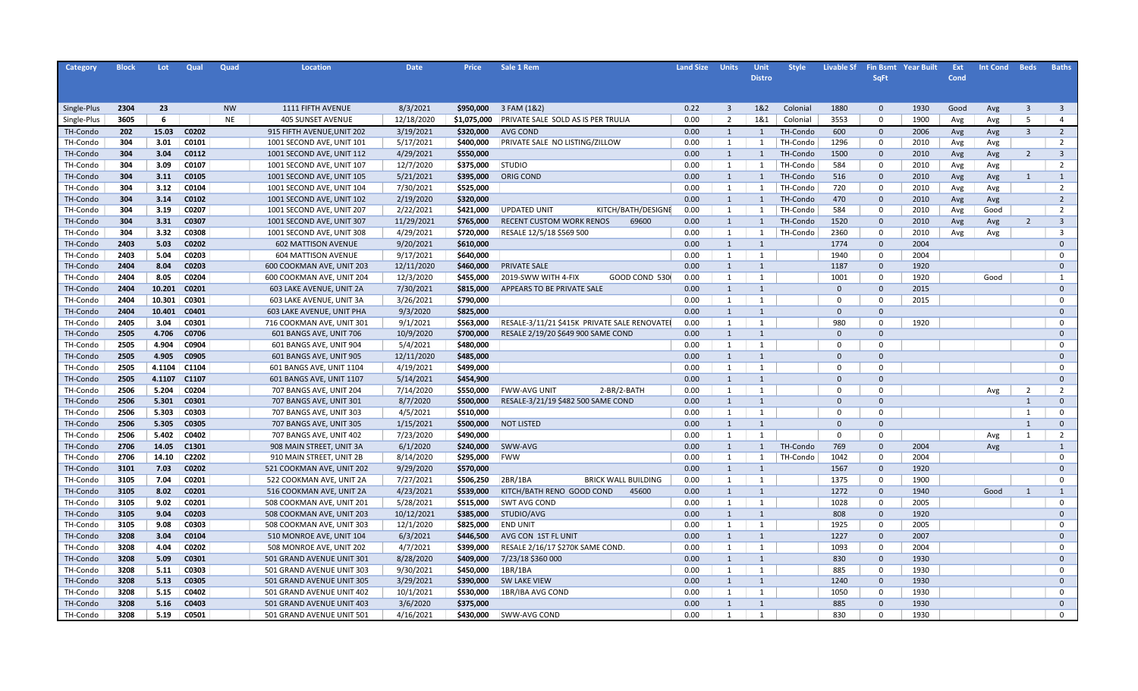| Category    | <b>Block</b> | Lot    | Qual              | Quad      | <b>Location</b>            | <b>Date</b> | <b>Price</b> | Sale 1 Rem                                   | <b>Land Size</b> | <b>Units</b>            | Unit          | <b>Style</b> | <b>Livable Sf</b> |              | <b>Fin Bsmt Year Built</b> | Ext  | <b>Int Cond</b> | <b>Beds</b>    | <b>Baths</b>            |
|-------------|--------------|--------|-------------------|-----------|----------------------------|-------------|--------------|----------------------------------------------|------------------|-------------------------|---------------|--------------|-------------------|--------------|----------------------------|------|-----------------|----------------|-------------------------|
|             |              |        |                   |           |                            |             |              |                                              |                  |                         | <b>Distro</b> |              |                   | <b>SqFt</b>  |                            | Cond |                 |                |                         |
|             |              |        |                   |           |                            |             |              |                                              |                  |                         |               |              |                   |              |                            |      |                 |                |                         |
|             |              |        |                   |           |                            |             |              |                                              |                  |                         |               |              |                   |              |                            |      |                 |                |                         |
| Single-Plus | 2304         | 23     |                   | <b>NW</b> | 1111 FIFTH AVENUE          | 8/3/2021    | \$950,000    | 3 FAM (1&2)                                  | 0.22             | $\overline{\mathbf{3}}$ | 1&2           | Colonial     | 1880              | $\mathbf{0}$ | 1930                       | Good | Avg             | $\overline{3}$ | $\overline{\mathbf{3}}$ |
| Single-Plus | 3605         | 6      |                   | <b>NE</b> | <b>405 SUNSET AVENUE</b>   | 12/18/2020  | \$1,075,000  | PRIVATE SALE SOLD AS IS PER TRULIA           | 0.00             | 2                       | 1&1           | Colonial     | 3553              | 0            | 1900                       | Avg  | Avg             | 5              | $\overline{4}$          |
| TH-Condo    | 202          | 15.03  | C0202             |           | 915 FIFTH AVENUE, UNIT 202 | 3/19/2021   | \$320,000    | <b>AVG COND</b>                              | 0.00             | 1                       | 1             | TH-Condo     | 600               | $\mathbf 0$  | 2006                       | Avg  | Avg             | $\overline{3}$ | $\overline{2}$          |
| TH-Condo    | 304          | 3.01   | C0101             |           | 1001 SECOND AVE, UNIT 101  | 5/17/2021   | \$400,000    | PRIVATE SALE NO LISTING/ZILLOW               | 0.00             | 1                       | 1             | TH-Condo     | 1296              | $\Omega$     | 2010                       | Avg  | Avg             |                | $\overline{2}$          |
| TH-Condo    | 304          | 3.04   | C0112             |           | 1001 SECOND AVE, UNIT 112  | 4/29/2021   | \$550,000    |                                              | 0.00             | 1                       | $\mathbf{1}$  | TH-Condo     | 1500              | $\mathbf{0}$ | 2010                       | Avg  | Avg             | $\overline{2}$ | $\overline{3}$          |
| TH-Condo    | 304          | 3.09   | C0107             |           | 1001 SECOND AVE, UNIT 107  | 12/7/2020   | \$375,000    | <b>STUDIO</b>                                | 0.00             | 1                       | 1             | TH-Condo     | 584               | $\Omega$     | 2010                       | Avg  | Avg             |                | $\overline{2}$          |
| TH-Condo    | 304          | 3.11   | C0105             |           | 1001 SECOND AVE, UNIT 105  | 5/21/2021   | \$395,000    | ORIG COND                                    | 0.00             | 1                       | $\mathbf{1}$  | TH-Condo     | 516               | $\mathbf{0}$ | 2010                       | Avg  | Avg             | $\mathbf{1}$   | 1                       |
| TH-Condo    | 304          | 3.12   | C0104             |           | 1001 SECOND AVE, UNIT 104  | 7/30/2021   | \$525,000    |                                              | 0.00             | 1                       | 1             | TH-Condo     | 720               | $\Omega$     | 2010                       | Avg  | Avg             |                | $\overline{2}$          |
| TH-Condo    | 304          | 3.14   | C0102             |           | 1001 SECOND AVE, UNIT 102  | 2/19/2020   | \$320,000    |                                              | 0.00             | 1                       | 1             | TH-Condo     | 470               | $\mathbf{0}$ | 2010                       | Avg  | Avg             |                | $\overline{2}$          |
| TH-Condo    | 304          | 3.19   | C0207             |           | 1001 SECOND AVE, UNIT 207  | 2/22/2021   | \$421,000    | <b>UPDATED UNIT</b><br>KITCH/BATH/DESIGNE    | 0.00             | 1                       | $\mathbf{1}$  | TH-Condo     | 584               | $\Omega$     | 2010                       | Avg  | Good            |                | $\overline{2}$          |
| TH-Condo    | 304          | 3.31   | C0307             |           | 1001 SECOND AVE, UNIT 307  | 11/29/2021  | \$765,000    | <b>RECENT CUSTOM WORK RENOS</b><br>69600     | 0.00             | 1                       | $\mathbf{1}$  | TH-Condo     | 1520              | $\mathbf{0}$ | 2010                       | Avg  | Avg             | $\overline{2}$ | $\overline{3}$          |
| TH-Condo    | 304          | 3.32   | C0308             |           | 1001 SECOND AVE, UNIT 308  | 4/29/2021   | \$720,000    | RESALE 12/5/18 \$569 500                     | 0.00             | 1                       | 1             | TH-Condo     | 2360              | $\Omega$     | 2010                       | Avg  | Avg             |                | $\overline{3}$          |
| TH-Condo    | 2403         | 5.03   | C0202             |           | <b>602 MATTISON AVENUE</b> | 9/20/2021   | \$610,000    |                                              | 0.00             | 1                       | 1             |              | 1774              | $\mathbf{0}$ | 2004                       |      |                 |                | $\Omega$                |
| TH-Condo    | 2403         | 5.04   | C0203             |           | <b>604 MATTISON AVENUE</b> | 9/17/2021   | \$640,000    |                                              | 0.00             | 1                       | 1             |              | 1940              | $\Omega$     | 2004                       |      |                 |                | $\Omega$                |
| TH-Condo    | 2404         | 8.04   | C0203             |           | 600 COOKMAN AVE, UNIT 203  | 12/11/2020  | \$460,000    | PRIVATE SALE                                 | 0.00             | 1                       | $\mathbf{1}$  |              | 1187              | $\mathbf{0}$ | 1920                       |      |                 |                | $\Omega$                |
| TH-Condo    | 2404         | 8.05   | C0204             |           | 600 COOKMAN AVE, UNIT 204  | 12/3/2020   | \$455,000    | 2019-SWW WITH 4-FIX<br>GOOD COND 530         | 0.00             | 1                       | 1             |              | 1001              | $\Omega$     | 1920                       |      | Good            |                | 1                       |
| TH-Condo    | 2404         | 10.201 | C0201             |           | 603 LAKE AVENUE, UNIT 2A   | 7/30/2021   | \$815,000    | APPEARS TO BE PRIVATE SALE                   | 0.00             | 1                       | $\mathbf{1}$  |              | $\Omega$          | $\mathbf{0}$ | 2015                       |      |                 |                | $\Omega$                |
| TH-Condo    | 2404         | 10.301 | C0301             |           | 603 LAKE AVENUE, UNIT 3A   | 3/26/2021   | \$790,000    |                                              | 0.00             | 1                       | 1             |              | $\Omega$          | $\Omega$     | 2015                       |      |                 |                | $\Omega$                |
| TH-Condo    | 2404         | 10.401 | C0401             |           | 603 LAKE AVENUE, UNIT PHA  | 9/3/2020    | \$825,000    |                                              | 0.00             | 1                       | 1             |              | $\Omega$          | $\mathbf{0}$ |                            |      |                 |                | $\Omega$                |
| TH-Condo    | 2405         | 3.04   | C0301             |           | 716 COOKMAN AVE, UNIT 301  | 9/1/2021    | \$563,000    | RESALE-3/11/21 \$415K PRIVATE SALE RENOVATEI | 0.00             | 1                       | 1             |              | 980               | $\Omega$     | 1920                       |      |                 |                | $\Omega$                |
| TH-Condo    | 2505         | 4.706  | C0706             |           | 601 BANGS AVE, UNIT 706    | 10/9/2020   | \$700,000    | RESALE 2/19/20 \$649 900 SAME COND           | 0.00             | 1                       | $\mathbf{1}$  |              | $\mathbf{0}$      | $\mathbf{0}$ |                            |      |                 |                | $\Omega$                |
| TH-Condo    | 2505         | 4.904  | C0904             |           | 601 BANGS AVE, UNIT 904    | 5/4/2021    | \$480,000    |                                              | 0.00             | 1                       | 1             |              | $\Omega$          | $\Omega$     |                            |      |                 |                | $\Omega$                |
| TH-Condo    | 2505         | 4.905  | C0905             |           | 601 BANGS AVE, UNIT 905    | 12/11/2020  | \$485,000    |                                              | 0.00             | 1                       | $\mathbf{1}$  |              | $\mathbf{0}$      | $\mathbf{0}$ |                            |      |                 |                | $\Omega$                |
| TH-Condo    | 2505         | 4.1104 | C1104             |           | 601 BANGS AVE, UNIT 1104   | 4/19/2021   | \$499,000    |                                              | 0.00             | 1                       | 1             |              | $\Omega$          | $\Omega$     |                            |      |                 |                | 0                       |
| TH-Condo    | 2505         | 4.1107 | C1107             |           | 601 BANGS AVE, UNIT 1107   | 5/14/2021   | \$454,900    |                                              | 0.00             | 1                       | 1             |              | $\mathbf{0}$      | $\mathbf{0}$ |                            |      |                 |                | $\Omega$                |
| TH-Condo    | 2506         | 5.204  | C0204             |           | 707 BANGS AVE, UNIT 204    | 7/14/2020   | \$550,000    | <b>FWW-AVG UNIT</b><br>2-BR/2-BATH           | 0.00             | 1                       | 1             |              | $\Omega$          | $\Omega$     |                            |      | Avg             | 2              | $\overline{2}$          |
| TH-Condo    | 2506         | 5.301  | C0301             |           | 707 BANGS AVE, UNIT 301    | 8/7/2020    | \$500,000    | RESALE-3/21/19 \$482 500 SAME COND           | 0.00             | 1                       | $\mathbf{1}$  |              | $\mathbf{0}$      | $\mathbf{0}$ |                            |      |                 | 1              | $\Omega$                |
| TH-Condo    | 2506         | 5.303  | C0303             |           | 707 BANGS AVE, UNIT 303    | 4/5/2021    | \$510,000    |                                              | 0.00             | 1                       | 1             |              | $\Omega$          | $\Omega$     |                            |      |                 | $\mathbf{1}$   | $\mathbf 0$             |
| TH-Condo    | 2506         | 5.305  | C0305             |           | 707 BANGS AVE, UNIT 305    | 1/15/2021   | \$500,000    | <b>NOT LISTED</b>                            | 0.00             | 1                       | $\mathbf{1}$  |              | $\mathbf{0}$      | $\mathbf{0}$ |                            |      |                 | 1              | $\mathbf{0}$            |
| TH-Condo    | 2506         | 5.402  | C0402             |           | 707 BANGS AVE, UNIT 402    | 7/23/2020   | \$490,000    |                                              | 0.00             | 1                       | 1             |              | $\mathbf 0$       | $\mathbf 0$  |                            |      | Avg             | 1              | $\overline{2}$          |
| TH-Condo    | 2706         | 14.05  | C <sub>1301</sub> |           | 908 MAIN STREET, UNIT 3A   | 6/1/2020    | \$240,000    | SWW-AVG                                      | 0.00             | 1                       | $\mathbf{1}$  | TH-Condo     | 769               | $\mathbf{0}$ | 2004                       |      | Avg             |                | 1                       |
| TH-Condo    | 2706         | 14.10  | C2202             |           | 910 MAIN STREET, UNIT 2B   | 8/14/2020   | \$295,000    | <b>FWW</b>                                   | 0.00             | 1                       | 1             | TH-Condo     | 1042              | $\mathbf 0$  | 2004                       |      |                 |                | 0                       |
| TH-Condo    | 3101         | 7.03   | C0202             |           | 521 COOKMAN AVE, UNIT 202  | 9/29/2020   | \$570,000    |                                              | 0.00             | 1                       | 1             |              | 1567              | $\mathbf{0}$ | 1920                       |      |                 |                | $\Omega$                |
| TH-Condo    | 3105         | 7.04   | C0201             |           | 522 COOKMAN AVE, UNIT 2A   | 7/27/2021   | \$506,250    | 2BR/1BA<br><b>BRICK WALL BUILDING</b>        | 0.00             | 1                       | 1             |              | 1375              | $\mathbf 0$  | 1900                       |      |                 |                | $\Omega$                |
| TH-Condo    | 3105         | 8.02   | C0201             |           | 516 COOKMAN AVE, UNIT 2A   | 4/23/2021   | \$539,000    | KITCH/BATH RENO GOOD COND<br>45600           | 0.00             | 1                       | $\mathbf{1}$  |              | 1272              | $\mathbf 0$  | 1940                       |      | Good            | 1              | $\mathbf{1}$            |
| TH-Condo    | 3105         | 9.02   | C0201             |           | 508 COOKMAN AVE, UNIT 201  | 5/28/2021   | \$515,000    | <b>SWT AVG COND</b>                          | 0.00             | 1                       | 1             |              | 1028              | $\mathbf 0$  | 2005                       |      |                 |                | $\mathbf 0$             |
| TH-Condo    | 3105         | 9.04   | C0203             |           | 508 COOKMAN AVE, UNIT 203  | 10/12/2021  | \$385,000    | STUDIO/AVG                                   | 0.00             | $\bullet$               | 1             |              | 808               | $\mathbf{0}$ | 1920                       |      |                 |                | $\Omega$                |
| TH-Condo    | 3105         | 9.08   | C0303             |           | 508 COOKMAN AVE, UNIT 303  | 12/1/2020   | \$825,000    | <b>END UNIT</b>                              | 0.00             | 1                       | 1             |              | 1925              | $\mathbf 0$  | 2005                       |      |                 |                | $\mathbf 0$             |
| TH-Condo    | 3208         | 3.04   | C0104             |           | 510 MONROE AVE, UNIT 104   | 6/3/2021    | \$446,500    | AVG CON 1ST FL UNIT                          | 0.00             | 1                       | 1             |              | 1227              | $\mathbf 0$  | 2007                       |      |                 |                | $\Omega$                |
| TH-Condo    | 3208         | 4.04   | C0202             |           | 508 MONROE AVE, UNIT 202   | 4/7/2021    | \$399,000    | RESALE 2/16/17 \$270K SAME COND              | 0.00             | 1                       | 1             |              | 1093              | $\mathbf 0$  | 2004                       |      |                 |                | $\mathbf 0$             |
| TH-Condo    | 3208         | 5.09   | C0301             |           | 501 GRAND AVENUE UNIT 301  | 8/28/2020   | \$409,000    | 7/23/18 \$360 000                            | 0.00             | 1                       | 1             |              | 830               | $\mathbf{0}$ | 1930                       |      |                 |                | $\Omega$                |
| TH-Condo    | 3208         | 5.11   | C0303             |           | 501 GRAND AVENUE UNIT 303  | 9/30/2021   | \$450,000    | 1BR/1BA                                      | 0.00             | 1                       | 1             |              | 885               | $\mathbf 0$  | 1930                       |      |                 |                | $\mathbf 0$             |
| TH-Condo    | 3208         | 5.13   | C0305             |           | 501 GRAND AVENUE UNIT 305  | 3/29/2021   | \$390,000    | <b>SW LAKE VIEW</b>                          | 0.00             | 1                       | 1             |              | 1240              | $\mathbf 0$  | 1930                       |      |                 |                | $\Omega$                |
| TH-Condo    | 3208         | 5.15   | C0402             |           | 501 GRAND AVENUE UNIT 402  | 10/1/2021   | \$530,000    | 1BR/IBA AVG COND                             | 0.00             | 1                       | 1             |              | 1050              | $\mathbf 0$  | 1930                       |      |                 |                | $\mathbf 0$             |
| TH-Condo    | 3208         | 5.16   | C0403             |           | 501 GRAND AVENUE UNIT 403  | 3/6/2020    | \$375,000    |                                              | 0.00             | 1                       | 1             |              | 885               | $\Omega$     | 1930                       |      |                 |                | $\Omega$                |
| TH-Condo    | 3208         | 5.19   | C0501             |           | 501 GRAND AVENUE UNIT 501  | 4/16/2021   | \$430,000    | SWW-AVG COND                                 | 0.00             | $\overline{1}$          | 1             |              | 830               | $\Omega$     | 1930                       |      |                 |                | $\Omega$                |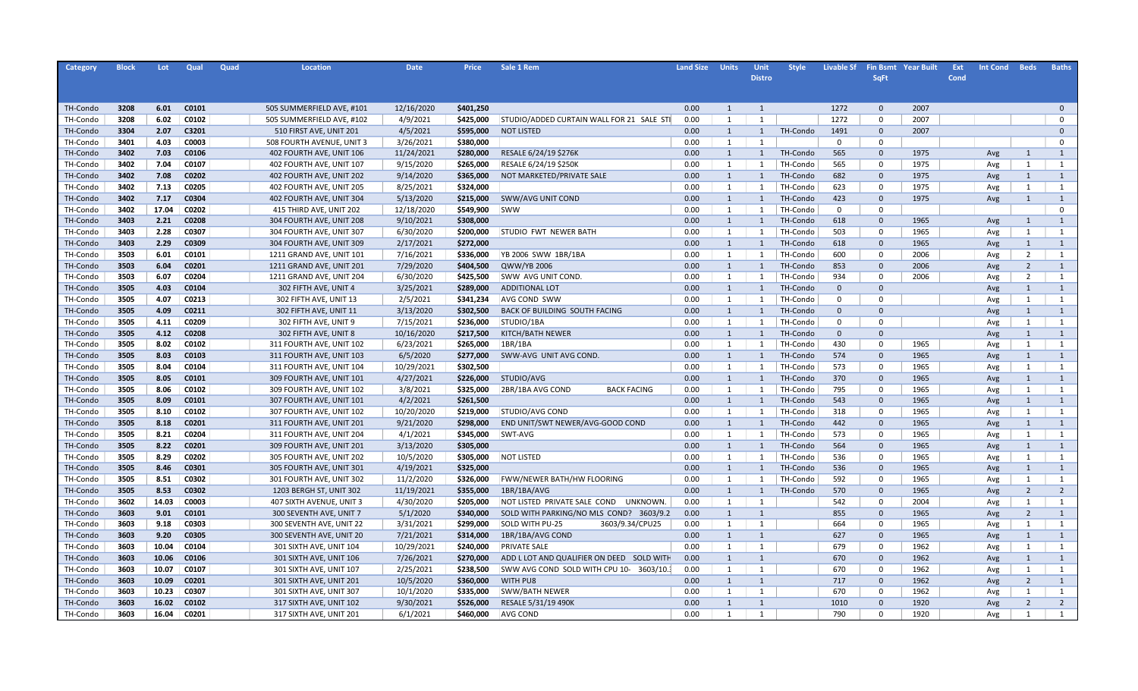| Category | <b>Block</b> | Lot   | Qual  | Quad | Location                  | <b>Date</b> | <b>Price</b> | Sale 1 Rem                                | <b>Land Size</b> | <b>Units</b>   | Unit           | <b>Style</b> | <b>Livable Sf</b> |              | <b>Fin Bsmt Year Built</b> | Ext  | <b>Int Cond</b> | <b>Beds</b>    | <b>Baths</b>         |
|----------|--------------|-------|-------|------|---------------------------|-------------|--------------|-------------------------------------------|------------------|----------------|----------------|--------------|-------------------|--------------|----------------------------|------|-----------------|----------------|----------------------|
|          |              |       |       |      |                           |             |              |                                           |                  |                | <b>Distro</b>  |              |                   | <b>SqFt</b>  |                            | Cond |                 |                |                      |
|          |              |       |       |      |                           |             |              |                                           |                  |                |                |              |                   |              |                            |      |                 |                |                      |
|          |              |       |       |      |                           |             |              |                                           |                  |                |                |              |                   |              |                            |      |                 |                |                      |
| TH-Condo | 3208         | 6.01  | C0101 |      | 505 SUMMERFIELD AVE, #101 | 12/16/2020  | \$401,250    |                                           | 0.00             | 1              | 1              |              | 1272              | $\mathbf 0$  | 2007                       |      |                 |                | $\Omega$<br>$\Omega$ |
| TH-Condo | 3208         | 6.02  | C0102 |      | 505 SUMMERFIELD AVE, #102 | 4/9/2021    | \$425,000    | STUDIO/ADDED CURTAIN WALL FOR 21 SALE STI | 0.00             | 1              | 1              |              | 1272              | 0            | 2007                       |      |                 |                | $\Omega$             |
| TH-Condo | 3304         | 2.07  | C3201 |      | 510 FIRST AVE, UNIT 201   | 4/5/2021    | \$595,000    | <b>NOT LISTED</b>                         | 0.00             | 1              | $\mathbf{1}$   | TH-Condo     | 1491              | $\mathbf{0}$ | 2007                       |      |                 |                |                      |
| TH-Condo | 3401         | 4.03  | C0003 |      | 508 FOURTH AVENUE, UNIT 3 | 3/26/2021   | \$380,000    |                                           | 0.00             | 1              | 1              |              | $^{\circ}$        | 0            |                            |      |                 |                | $\mathbf 0$          |
| TH-Condo | 3402         | 7.03  | C0106 |      | 402 FOURTH AVE, UNIT 106  | 11/24/2021  | \$280,000    | RESALE 6/24/19 \$276K                     | 0.00             | 1              | $\overline{1}$ | TH-Condo     | 565               | $\mathbf{0}$ | 1975                       |      | Avg             | 1              | 1                    |
| TH-Condo | 3402         | 7.04  | C0107 |      | 402 FOURTH AVE, UNIT 107  | 9/15/2020   | \$265,000    | RESALE 6/24/19 \$250K                     | 0.00             | 1              | 1              | TH-Condo     | 565               | 0            | 1975                       |      | Avg             | 1              | 1                    |
| TH-Condo | 3402         | 7.08  | C0202 |      | 402 FOURTH AVE, UNIT 202  | 9/14/2020   | \$365,000    | NOT MARKETED/PRIVATE SALE                 | 0.00             | 1              | 1              | TH-Condo     | 682               | $\Omega$     | 1975                       |      | Avg             | 1              | 1                    |
| TH-Condo | 3402         | 7.13  | C0205 |      | 402 FOURTH AVE, UNIT 205  | 8/25/2021   | \$324,000    |                                           | 0.00             | 1              | 1              | TH-Condo     | 623               | 0            | 1975                       |      | Avg             | 1              | $\mathbf{1}$         |
| TH-Condo | 3402         | 7.17  | C0304 |      | 402 FOURTH AVE, UNIT 304  | 5/13/2020   | \$215,000    | SWW/AVG UNIT COND                         | 0.00             | 1              | 1              | TH-Condo     | 423               | $\mathbf 0$  | 1975                       |      | Avg             | 1              | 1                    |
| TH-Condo | 3402         | 17.04 | C0202 |      | 415 THIRD AVE, UNIT 202   | 12/18/2020  | \$549,900    | <b>SWW</b>                                | 0.00             | 1              | 1              | TH-Condo     | $\mathsf{o}$      | $\mathbf 0$  |                            |      |                 |                | $\mathbf 0$          |
| TH-Condo | 3403         | 2.21  | C0208 |      | 304 FOURTH AVE, UNIT 208  | 9/10/2021   | \$308,000    |                                           | 0.00             | 1              | 1              | TH-Condo     | 618               | $\mathbf 0$  | 1965                       |      | Avg             | 1              | 1                    |
| TH-Condo | 3403         | 2.28  | C0307 |      | 304 FOURTH AVE, UNIT 307  | 6/30/2020   | \$200,000    | STUDIO FWT NEWER BATH                     | 0.00             | 1              | 1              | TH-Condo     | 503               | $\mathbf 0$  | 1965                       |      | Avg             | 1              | $\mathbf{1}$         |
| TH-Condo | 3403         | 2.29  | C0309 |      | 304 FOURTH AVE, UNIT 309  | 2/17/2021   | \$272,000    |                                           | 0.00             | 1              | 1              | TH-Condo     | 618               | $\mathbf{0}$ | 1965                       |      | Avg             | 1              | 1                    |
| TH-Condo | 3503         | 6.01  | C0101 |      | 1211 GRAND AVE, UNIT 101  | 7/16/2021   | \$336,000    | YB 2006 SWW 1BR/1BA                       | 0.00             | 1              | 1              | TH-Condo     | 600               | $\mathbf 0$  | 2006                       |      | Avg             | $\overline{2}$ | $\mathbf{1}$         |
| TH-Condo | 3503         | 6.04  | C0201 |      | 1211 GRAND AVE, UNIT 201  | 7/29/2020   | \$404,500    | QWW/YB 2006                               | 0.00             | 1              | 1              | TH-Condo     | 853               | $\Omega$     | 2006                       |      | Avg             | $\overline{2}$ | 1                    |
| TH-Condo | 3503         | 6.07  | C0204 |      | 1211 GRAND AVE, UNIT 204  | 6/30/2020   | \$425,500    | SWW AVG UNIT COND.                        | 0.00             | 1              | 1              | TH-Condo     | 934               | $\Omega$     | 2006                       |      | Avg             | $\overline{2}$ | $\mathbf{1}$         |
| TH-Condo | 3505         | 4.03  | C0104 |      | 302 FIFTH AVE, UNIT 4     | 3/25/2021   | \$289,000    | <b>ADDITIONAL LOT</b>                     | 0.00             | 1              | 1              | TH-Condo     | $\mathbf{0}$      | $\Omega$     |                            |      | Avg             | 1              | 1                    |
| TH-Condo | 3505         | 4.07  | C0213 |      | 302 FIFTH AVE, UNIT 13    | 2/5/2021    | \$341.234    | AVG COND SWW                              | 0.00             | 1              | 1              | TH-Condo     | $\mathbf 0$       | $\Omega$     |                            |      | Avg             | 1              | 1                    |
| TH-Condo | 3505         | 4.09  | C0211 |      | 302 FIFTH AVE, UNIT 11    | 3/13/2020   | \$302,500    | BACK OF BUILDING SOUTH FACING             | 0.00             | 1              | 1              | TH-Condo     | $\mathbf{0}$      | $\Omega$     |                            |      | Avg             | $\mathbf{1}$   | 1                    |
| TH-Condo | 3505         | 4.11  | C0209 |      | 302 FIFTH AVE, UNIT 9     | 7/15/2021   | \$236,000    | STUDIO/1BA                                | 0.00             | 1              | 1              | TH-Condo     | $\mathbf 0$       | $\Omega$     |                            |      | Avg             | 1              | 1                    |
| TH-Condo | 3505         | 4.12  | C0208 |      | 302 FIFTH AVE, UNIT 8     | 10/16/2020  | \$217,500    | KITCH/BATH NEWER                          | 0.00             | 1              | 1              | TH-Condo     | $\mathbf{0}$      | $\Omega$     |                            |      | Avg             | $\mathbf{1}$   | 1                    |
| TH-Condo | 3505         | 8.02  | C0102 |      | 311 FOURTH AVE, UNIT 102  | 6/23/2021   | \$265,000    | 1BR/1BA                                   | 0.00             | 1              | 1              | TH-Condo     | 430               | $\Omega$     | 1965                       |      | Avg             | 1              | 1                    |
| TH-Condo | 3505         | 8.03  | C0103 |      | 311 FOURTH AVE, UNIT 103  | 6/5/2020    | \$277,000    | SWW-AVG UNIT AVG COND.                    | 0.00             | 1              | $\mathbf{1}$   | TH-Condo     | 574               | $\mathbf{0}$ | 1965                       |      | Avg             | $\mathbf{1}$   | $\mathbf{1}$         |
| TH-Condo | 3505         | 8.04  | C0104 |      | 311 FOURTH AVE, UNIT 104  | 10/29/2021  | \$302,500    |                                           | 0.00             | 1              | $\mathbf{1}$   | TH-Condo     | 573               | $\Omega$     | 1965                       |      | Avg             | 1              | 1                    |
| TH-Condo | 3505         | 8.05  | C0101 |      | 309 FOURTH AVE, UNIT 101  | 4/27/2021   | \$226,000    | STUDIO/AVG                                | 0.00             | 1              | 1              | TH-Condo     | 370               | $\mathbf{0}$ | 1965                       |      | Avg             | $\mathbf{1}$   | $\mathbf{1}$         |
| TH-Condo | 3505         | 8.06  | C0102 |      | 309 FOURTH AVE, UNIT 102  | 3/8/2021    | \$325,000    | 2BR/1BA AVG COND<br><b>BACK FACING</b>    | 0.00             | 1              | 1              | TH-Condo     | 795               | $\Omega$     | 1965                       |      | Avg             | 1              | 1                    |
| TH-Condo | 3505         | 8.09  | C0101 |      | 307 FOURTH AVE, UNIT 101  | 4/2/2021    | \$261,500    |                                           | 0.00             | 1              | 1              | TH-Condo     | 543               | $\mathbf{0}$ | 1965                       |      | Avg             | $\mathbf{1}$   | $\mathbf{1}$         |
| TH-Condo | 3505         | 8.10  | C0102 |      | 307 FOURTH AVE, UNIT 102  | 10/20/2020  | \$219,000    | <b>STUDIO/AVG COND</b>                    | 0.00             | 1              | 1              | TH-Condo     | 318               | $\Omega$     | 1965                       |      | Avg             | 1              | 1                    |
| TH-Condo | 3505         | 8.18  | C0201 |      | 311 FOURTH AVE, UNIT 201  | 9/21/2020   | \$298,000    | END UNIT/SWT NEWER/AVG-GOOD COND          | 0.00             | 1              | $\mathbf{1}$   | TH-Condo     | 442               | $\mathbf{0}$ | 1965                       |      | Avg             | $\mathbf{1}$   | $\mathbf{1}$         |
| TH-Condo | 3505         | 8.21  | C0204 |      | 311 FOURTH AVE, UNIT 204  | 4/1/2021    | \$345,000    | SWT-AVG                                   | 0.00             | 1              | 1              | TH-Condo     | 573               | $\Omega$     | 1965                       |      | Avg             | 1              | 1                    |
| TH-Condo | 3505         | 8.22  | C0201 |      | 309 FOURTH AVE, UNIT 201  | 3/13/2020   | \$305,000    |                                           | 0.00             | 1              | $\overline{1}$ | TH-Condo     | 564               | $\mathbf{0}$ | 1965                       |      | Avg             | $\mathbf{1}$   | $\mathbf{1}$         |
| TH-Condo | 3505         | 8.29  | C0202 |      | 305 FOURTH AVE, UNIT 202  | 10/5/2020   | \$305,000    | <b>NOT LISTED</b>                         | 0.00             | 1              | 1              | TH-Condo     | 536               | $\Omega$     | 1965                       |      | Avg             | 1              | 1                    |
| TH-Condo | 3505         | 8.46  | C0301 |      | 305 FOURTH AVE, UNIT 301  | 4/19/2021   | \$325,000    |                                           | 0.00             | 1              | $\overline{1}$ | TH-Condo     | 536               | $\Omega$     | 1965                       |      | Avg             | $\mathbf{1}$   | 1                    |
| TH-Condo | 3505         | 8.51  | C0302 |      | 301 FOURTH AVE, UNIT 302  | 11/2/2020   | \$326,000    | FWW/NEWER BATH/HW FLOORING                | 0.00             | 1              | 1              | TH-Condo     | 592               | $\Omega$     | 1965                       |      | Avg             | 1              | 1                    |
| TH-Condo | 3505         | 8.53  | C0302 |      | 1203 BERGH ST, UNIT 302   | 11/19/2021  | \$355,000    | 1BR/1BA/AVG                               | 0.00             | 1              | 1              | TH-Condo     | 570               | $\Omega$     | 1965                       |      | Avg             | $\overline{2}$ | $\overline{2}$       |
| TH-Condo | 3602         | 14.03 | C0003 |      | 407 SIXTH AVENUE, UNIT 3  | 4/30/2020   | \$205,000    | NOT LISTED PRIVATE SALE COND UNKNOWN.     | 0.00             | 1              | 1              |              | 542               | $\Omega$     | 2004                       |      | Avg             | 1              | 1                    |
| TH-Condo | 3603         | 9.01  | C0101 |      | 300 SEVENTH AVE, UNIT 7   | 5/1/2020    | \$340,000    | SOLD WITH PARKING/NO MLS COND? 3603/9.2   | 0.00             | 1              | 1              |              | 855               | $\Omega$     | 1965                       |      | Avg             | $\overline{2}$ | $\mathbf{1}$         |
| TH-Condo | 3603         | 9.18  | C0303 |      | 300 SEVENTH AVE, UNIT 22  | 3/31/2021   | \$299,000    | <b>SOLD WITH PU-25</b><br>3603/9.34/CPU25 | 0.00             | 1              | 1              |              | 664               | $\Omega$     | 1965                       |      | Avg             | 1              | 1                    |
| TH-Condo | 3603         | 9.20  | C0305 |      | 300 SEVENTH AVE, UNIT 20  | 7/21/2021   | \$314,000    | 1BR/1BA/AVG COND                          | 0.00             | 1              | 1              |              | 627               | $\Omega$     | 1965                       |      | Avg             | 1              | 1                    |
| TH-Condo | 3603         | 10.04 | C0104 |      | 301 SIXTH AVE, UNIT 104   | 10/29/2021  | \$240,000    | PRIVATE SALE                              | 0.00             | 1              | 1              |              | 679               | $\Omega$     | 1962                       |      | Avg             | 1              | 1                    |
| TH-Condo | 3603         | 10.06 | C0106 |      | 301 SIXTH AVE, UNIT 106   | 7/26/2021   | \$270,000    | ADD L LOT AND QUALIFIER ON DEED SOLD WITH | 0.00             | 1              | 1              |              | 670               | $\Omega$     | 1962                       |      | Avg             | 1              | 1                    |
| TH-Condo | 3603         | 10.07 | C0107 |      | 301 SIXTH AVE, UNIT 107   | 2/25/2021   | \$238,500    | SWW AVG COND SOLD WITH CPU 10- 3603/10.   | 0.00             | 1              | 1              |              | 670               | $\Omega$     | 1962                       |      | Avg             | 1              | 1                    |
| TH-Condo | 3603         | 10.09 | C0201 |      | 301 SIXTH AVE, UNIT 201   | 10/5/2020   | \$360,000    | WITH PU8                                  | 0.00             | 1              | $\mathbf{1}$   |              | 717               | $\mathbf{0}$ | 1962                       |      | Avg             | $\overline{2}$ | 1                    |
| TH-Condo | 3603         | 10.23 | C0307 |      | 301 SIXTH AVE, UNIT 307   | 10/1/2020   | \$335,000    | SWW/BATH NEWER                            | 0.00             | 1              | 1              |              | 670               | $\Omega$     | 1962                       |      | Avg             | 1              | 1                    |
| TH-Condo | 3603         | 16.02 | C0102 |      | 317 SIXTH AVE, UNIT 102   | 9/30/2021   | \$526,000    | RESALE 5/31/19 490K                       | 0.00             | 1              | 1              |              | 1010              | $\Omega$     | 1920                       |      | Avg             | $\overline{2}$ | $\overline{2}$       |
| TH-Condo | 3603         | 16.04 | C0201 |      | 317 SIXTH AVE, UNIT 201   | 6/1/2021    | \$460,000    | <b>AVG COND</b>                           | 0.00             | $\overline{1}$ | $\mathbf{1}$   |              | 790               | $\Omega$     | 1920                       |      | Avg             | $\mathbf{1}$   | 1                    |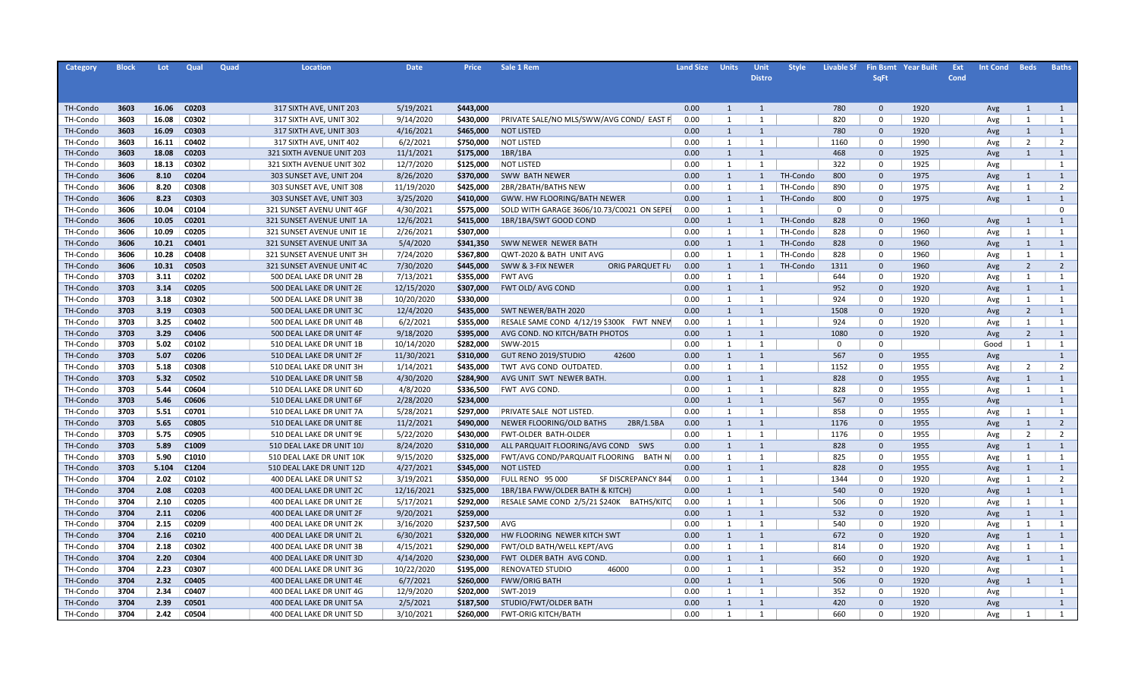| Category             | <b>Block</b> | Lot   | Qual  | Quad | <b>Location</b>           | <b>Date</b>            | <b>Price</b> | Sale 1 Rem                                 | <b>Land Size</b> | <b>Units</b> | Unit           | <b>Style</b> | <b>Livable Sf</b> |                             | <b>Fin Bsmt Year Built</b> | Ext<br><b>Int Cond</b> | <b>Beds</b>    | <b>Baths</b>   |
|----------------------|--------------|-------|-------|------|---------------------------|------------------------|--------------|--------------------------------------------|------------------|--------------|----------------|--------------|-------------------|-----------------------------|----------------------------|------------------------|----------------|----------------|
|                      |              |       |       |      |                           |                        |              |                                            |                  |              | <b>Distro</b>  |              |                   | <b>SqFt</b>                 |                            | Cond                   |                |                |
|                      |              |       |       |      |                           |                        |              |                                            |                  |              |                |              |                   |                             |                            |                        |                |                |
|                      | 3603         | 16.06 | C0203 |      | 317 SIXTH AVE, UNIT 203   | 5/19/2021              | \$443,000    |                                            | 0.00             | 1            | $\overline{1}$ |              | 780               | $\mathbf 0$                 | 1920                       |                        | 1              | 1              |
| TH-Condo<br>TH-Condo | 3603         | 16.08 | C0302 |      | 317 SIXTH AVE, UNIT 302   | 9/14/2020              | \$430,000    | PRIVATE SALE/NO MLS/SWW/AVG COND/ EAST F   | 0.00             | 1            | 1              |              | 820               | $\mathbf 0$                 | 1920                       | Avg<br>Avg             | 1              | 1              |
|                      |              | 16.09 | C0303 |      | 317 SIXTH AVE, UNIT 303   | 4/16/2021              | \$465,000    | <b>NOT LISTED</b>                          | 0.00             | 1            | $\mathbf{1}$   |              | 780               | $\mathbf{0}$                | 1920                       |                        | 1              | 1              |
| TH-Condo<br>TH-Condo | 3603<br>3603 | 16.11 | C0402 |      | 317 SIXTH AVE, UNIT 402   | 6/2/2021               | \$750,000    | <b>NOT LISTED</b>                          | 0.00             | 1            | 1              |              | 1160              | $\Omega$                    | 1990                       | Avg                    | $\overline{2}$ | 2              |
| TH-Condo             | 3603         | 18.08 | C0203 |      | 321 SIXTH AVENUE UNIT 203 | 11/1/2021              | \$175,000    | 1BR/1BA                                    | 0.00             | 1            | $\mathbf{1}$   |              | 468               | $\mathbf{0}$                | 1925                       | Avg                    | 1              | <sup>1</sup>   |
| TH-Condo             | 3603         | 18.13 | C0302 |      | 321 SIXTH AVENUE UNIT 302 |                        | \$125,000    | <b>NOT LISTED</b>                          | 0.00             | 1            | 1              |              | 322               |                             | 1925                       | Avg                    |                | 1              |
| TH-Condo             | 3606         | 8.10  | C0204 |      | 303 SUNSET AVE, UNIT 204  | 12/7/2020<br>8/26/2020 | \$370,000    | SWW BATH NEWER                             | 0.00             | 1            | 1              | TH-Condo     | 800               | $\mathbf 0$<br>$\mathbf{0}$ | 1975                       | Avg                    | 1              | 1              |
| TH-Condo             | 3606         | 8.20  | C0308 |      | 303 SUNSET AVE, UNIT 308  | 11/19/2020             | \$425,000    | 2BR/2BATH/BATHS NEW                        | 0.00             | 1            | 1              | TH-Condo     | 890               | $\Omega$                    | 1975                       | Avg                    | 1              | $\overline{2}$ |
| TH-Condo             | 3606         | 8.23  | C0303 |      | 303 SUNSET AVE, UNIT 303  | 3/25/2020              | \$410,000    | GWW. HW FLOORING/BATH NEWER                | 0.00             | 1            | $\mathbf{1}$   | TH-Condo     | 800               | $\mathbf{0}$                | 1975                       | Avg<br>Avg             | 1              | 1              |
| TH-Condo             | 3606         | 10.04 | C0104 |      | 321 SUNSET AVENU UNIT 4GF | 4/30/2021              | \$575,000    | SOLD WITH GARAGE 3606/10.73/C0021 ON SEPEI | 0.00             | 1            | $\mathbf{1}$   |              | $\mathbf 0$       | $\Omega$                    |                            |                        |                | $\mathbf 0$    |
| TH-Condo             | 3606         | 10.05 | C0201 |      | 321 SUNSET AVENUE UNIT 1A | 12/6/2021              | \$415,000    | 1BR/1BA/SWT GOOD COND                      | 0.00             | 1            | $\mathbf{1}$   | TH-Condo     | 828               | $\mathbf{0}$                | 1960                       | Avg                    | 1              | 1              |
| TH-Condo             | 3606         | 10.09 | C0205 |      | 321 SUNSET AVENUE UNIT 1E | 2/26/2021              | \$307,000    |                                            | 0.00             | 1            | $\mathbf{1}$   | TH-Condo     | 828               | $\mathbf 0$                 | 1960                       | Avg                    | 1              | 1              |
| TH-Condo             | 3606         | 10.21 | C0401 |      | 321 SUNSET AVENUE UNIT 3A | 5/4/2020               | \$341,350    | SWW NEWER NEWER BATH                       | 0.00             | 1            | $\mathbf{1}$   | TH-Condo     | 828               | $\mathbf{0}$                | 1960                       | Avg                    | 1              | 1              |
| TH-Condo             | 3606         | 10.28 | C0408 |      | 321 SUNSET AVENUE UNIT 3H | 7/24/2020              | \$367,800    | QWT-2020 & BATH UNIT AVG                   | 0.00             | 1            | $\mathbf{1}$   | TH-Condo     | 828               | $\mathbf 0$                 | 1960                       |                        | 1              | 1              |
| TH-Condo             | 3606         | 10.31 | C0503 |      | 321 SUNSET AVENUE UNIT 4C | 7/30/2020              | \$445,000    | SWW & 3-FIX NEWER<br>ORIG PARQUET FL       | 0.00             | 1            | $\mathbf{1}$   | TH-Condo     | 1311              | $\mathbf{0}$                | 1960                       | Avg                    | $\overline{2}$ | $\overline{2}$ |
| TH-Condo             | 3703         | 3.11  | C0202 |      | 500 DEAL LAKE DR UNIT 2B  | 7/13/2021              | \$355,000    | <b>FWT AVG</b>                             | 0.00             | 1            | $\mathbf{1}$   |              | 644               | $\mathbf 0$                 | 1920                       | Avg                    | 1              | 1              |
| TH-Condo             | 3703         | 3.14  | C0205 |      | 500 DEAL LAKE DR UNIT 2E  | 12/15/2020             | \$307,000    | <b>FWT OLD/ AVG COND</b>                   | 0.00             | 1            | $\mathbf{1}$   |              | 952               | $\mathbf{0}$                | 1920                       | Avg                    | 1              | $\mathbf{1}$   |
| TH-Condo             | 3703         | 3.18  | C0302 |      | 500 DEAL LAKE DR UNIT 3B  | 10/20/2020             | \$330,000    |                                            | 0.00             | 1            | 1              |              | 924               | $\mathbf 0$                 | 1920                       | Avg<br>Avg             | 1              | 1              |
| TH-Condo             | 3703         | 3.19  | C0303 |      | 500 DEAL LAKE DR UNIT 3C  | 12/4/2020              | \$435,000    | SWT NEWER/BATH 2020                        | 0.00             | 1            | $\mathbf{1}$   |              | 1508              | $\mathbf{0}$                | 1920                       |                        | $\overline{2}$ | 1              |
| TH-Condo             | 3703         | 3.25  | C0402 |      | 500 DEAL LAKE DR UNIT 4B  | 6/2/2021               | \$355,000    | RESALE SAME COND 4/12/19 \$300K FWT NNEW   | 0.00             | 1            | 1              |              | 924               | $\mathbf 0$                 | 1920                       | Avg<br>Avg             | 1              | 1              |
| TH-Condo             | 3703         | 3.29  | C0406 |      | 500 DEAL LAKE DR UNIT 4F  | 9/18/2020              | \$395,000    | AVG COND. NO KITCH/BATH PHOTOS             | 0.00             | 1            | $\mathbf{1}$   |              | 1080              | $\mathbf 0$                 | 1920                       |                        | $\overline{2}$ | 1              |
| TH-Condo             | 3703         | 5.02  | C0102 |      | 510 DEAL LAKE DR UNIT 1B  | 10/14/2020             | \$282,000    | SWW-2015                                   | 0.00             | 1            | 1              |              | $\mathbf 0$       | $\Omega$                    |                            | Avg<br>Good            | 1              | 1              |
| TH-Condo             | 3703         | 5.07  | C0206 |      | 510 DEAL LAKE DR UNIT 2F  | 11/30/2021             | \$310,000    | GUT RENO 2019/STUDIO<br>42600              | 0.00             | $\mathbf{1}$ | $\mathbf{1}$   |              | 567               | $\mathbf 0$                 | 1955                       |                        |                | $\mathbf{1}$   |
| TH-Condo             | 3703         | 5.18  | C0308 |      | 510 DEAL LAKE DR UNIT 3H  | 1/14/2021              | \$435,000    | TWT AVG COND OUTDATED.                     | 0.00             | 1            | $\mathbf{1}$   |              | 1152              | $\Omega$                    | 1955                       | Avg                    | $\overline{2}$ | 2              |
| TH-Condo             | 3703         | 5.32  | C0502 |      | 510 DEAL LAKE DR UNIT 5B  | 4/30/2020              | \$284,900    | AVG UNIT SWT NEWER BATH.                   | 0.00             | $\mathbf{1}$ | $\mathbf{1}$   |              | 828               | $\mathbf{0}$                | 1955                       | Avg<br>Avg             | $\mathbf{1}$   | $\mathbf{1}$   |
| TH-Condo             | 3703         | 5.44  | C0604 |      | 510 DEAL LAKE DR UNIT 6D  | 4/8/2020               | \$336,500    | FWT AVG COND.                              | 0.00             | 1            | 1              |              | 828               | $\Omega$                    | 1955                       | Avg                    | 1              | 1              |
| TH-Condo             | 3703         | 5.46  | C0606 |      | 510 DEAL LAKE DR UNIT 6F  | 2/28/2020              | \$234,000    |                                            | 0.00             | $\mathbf{1}$ | $\mathbf{1}$   |              | 567               | $\mathbf 0$                 | 1955                       | Avg                    |                | $\mathbf{1}$   |
| TH-Condo             | 3703         | 5.51  | C0701 |      | 510 DEAL LAKE DR UNIT 7A  | 5/28/2021              | \$297,000    | PRIVATE SALE NOT LISTED                    | 0.00             | 1            | $\mathbf{1}$   |              | 858               | $\Omega$                    | 1955                       | Avg                    | 1              | 1              |
| TH-Condo             | 3703         | 5.65  | C0805 |      | 510 DEAL LAKE DR UNIT 8E  | 11/2/2021              | \$490,000    | 2BR/1.5BA<br>NEWER FLOORING/OLD BATHS      | 0.00             | $\mathbf{1}$ | $\mathbf{1}$   |              | 1176              | $\mathbf{0}$                | 1955                       | Avg                    | $\mathbf{1}$   | $\overline{2}$ |
| TH-Condo             | 3703         | 5.75  | C0905 |      | 510 DEAL LAKE DR UNIT 9E  | 5/22/2020              | \$430,000    | FWT-OLDER BATH-OLDER                       | 0.00             | 1            | $\mathbf{1}$   |              | 1176              | $\Omega$                    | 1955                       | Avg                    | $\overline{2}$ | $\overline{2}$ |
| TH-Condo             | 3703         | 5.89  | C1009 |      | 510 DEAL LAKE DR UNIT 10J | 8/24/2020              | \$310,000    | ALL PARQUAIT FLOORING/AVG COND SWS         | 0.00             | $\mathbf{1}$ | $\mathbf{1}$   |              | 828               | $\Omega$                    | 1955                       | Avg                    | $\mathbf{1}$   | $\mathbf{1}$   |
| TH-Condo             | 3703         | 5.90  | C1010 |      | 510 DEAL LAKE DR UNIT 10K | 9/15/2020              | \$325,000    | FWT/AVG COND/PARQUAIT FLOORING<br>BATH N   | 0.00             | 1            | 1              |              | 825               | $\Omega$                    | 1955                       | Avg                    | 1              | 1              |
| TH-Condo             | 3703         | 5.104 | C1204 |      | 510 DEAL LAKE DR UNIT 12D | 4/27/2021              | \$345,000    | <b>NOT LISTED</b>                          | 0.00             | 1            | $\mathbf{1}$   |              | 828               | $\Omega$                    | 1955                       | Avg                    | $\mathbf{1}$   | $\mathbf{1}$   |
| TH-Condo             | 3704         | 2.02  | C0102 |      | 400 DEAL LAKE DR UNIT S2  | 3/19/2021              | \$350,000    | FULL RENO 95 000<br>SF DISCREPANCY 844     | 0.00             | 1            | 1              |              | 1344              | $\Omega$                    | 1920                       | Avg                    | 1              | 2              |
| TH-Condo             | 3704         | 2.08  | C0203 |      | 400 DEAL LAKE DR UNIT 2C  | 12/16/2021             | \$325,000    | 1BR/1BA FWW/OLDER BATH & KITCH)            | 0.00             | $\mathbf{1}$ | $\mathbf{1}$   |              | 540               | $\Omega$                    | 1920                       | Avg                    | $\mathbf{1}$   | $\mathbf{1}$   |
| TH-Condo             | 3704         | 2.10  | C0205 |      | 400 DEAL LAKE DR UNIT 2E  | 5/17/2021              | \$292,000    | RESALE SAME COND 2/5/21 \$240K BATHS/KITC  | 0.00             | 1            | 1              |              | 506               | $\Omega$                    | 1920                       | Avg                    | 1              | 1              |
| TH-Condo             | 3704         | 2.11  | C0206 |      | 400 DEAL LAKE DR UNIT 2F  | 9/20/2021              | \$259,000    |                                            | 0.00             | $\mathbf{1}$ | 1              |              | 532               | $\Omega$                    | 1920                       | Avg                    | 1              | 1              |
| TH-Condo             | 3704         | 2.15  | C0209 |      | 400 DEAL LAKE DR UNIT 2K  | 3/16/2020              | \$237,500    | AVG                                        | 0.00             | 1            | 1              |              | 540               | $\Omega$                    | 1920                       | Avg                    | 1              | 1              |
| TH-Condo             | 3704         | 2.16  | C0210 |      | 400 DEAL LAKE DR UNIT 2L  | 6/30/2021              | \$320,000    | HW FLOORING NEWER KITCH SWT                | 0.00             | 1            | $\mathbf{1}$   |              | 672               | $\Omega$                    | 1920                       | Avg                    | 1              | 1              |
| TH-Condo             | 3704         | 2.18  | C0302 |      | 400 DEAL LAKE DR UNIT 3B  | 4/15/2021              | \$290,000    | FWT/OLD BATH/WELL KEPT/AVG                 | 0.00             | 1            | 1              |              | 814               | $\Omega$                    | 1920                       | Avg                    | 1              | 1              |
| TH-Condo             | 3704         | 2.20  | C0304 |      | 400 DEAL LAKE DR UNIT 3D  | 4/14/2020              | \$230,000    | FWT OLDER BATH AVG COND.                   | 0.00             | $\mathbf{1}$ | 1              |              | 660               | $\Omega$                    | 1920                       | Avg                    | 1              | 1              |
| TH-Condo             | 3704         | 2.23  | C0307 |      | 400 DEAL LAKE DR UNIT 3G  | 10/22/2020             | \$195,000    | <b>RENOVATED STUDIO</b><br>46000           | 0.00             | 1            | 1              |              | 352               | $\Omega$                    | 1920                       | Avg                    |                | 1              |
| TH-Condo             | 3704         | 2.32  | C0405 |      | 400 DEAL LAKE DR UNIT 4E  | 6/7/2021               | \$260,000    | <b>FWW/ORIG BATH</b>                       | 0.00             | 1            | $\mathbf{1}$   |              | 506               | $\mathbf{0}$                | 1920                       | Avg                    | 1              | 1              |
| TH-Condo             | 3704         | 2.34  | C0407 |      | 400 DEAL LAKE DR UNIT 4G  | 12/9/2020              | \$202,000    | SWT-2019                                   | 0.00             | 1            | 1              |              | 352               | $\Omega$                    | 1920                       | Avg                    |                | 1              |
| TH-Condo             | 3704         | 2.39  | C0501 |      | 400 DEAL LAKE DR UNIT 5A  | 2/5/2021               | \$187,500    | STUDIO/FWT/OLDER BATH                      | 0.00             | $\mathbf{1}$ | 1              |              | 420               | $\Omega$                    | 1920                       | Avg                    |                | 1              |
| TH-Condo             | 3704         | 2.42  | C0504 |      | 400 DEAL LAKE DR UNIT 5D  | 3/10/2021              | \$260,000    | <b>FWT-ORIG KITCH/BATH</b>                 | 0.00             | $\mathbf{1}$ | $\mathbf{1}$   |              | 660               | $\Omega$                    | 1920                       | Avg                    | $\overline{1}$ | 1              |
|                      |              |       |       |      |                           |                        |              |                                            |                  |              |                |              |                   |                             |                            |                        |                |                |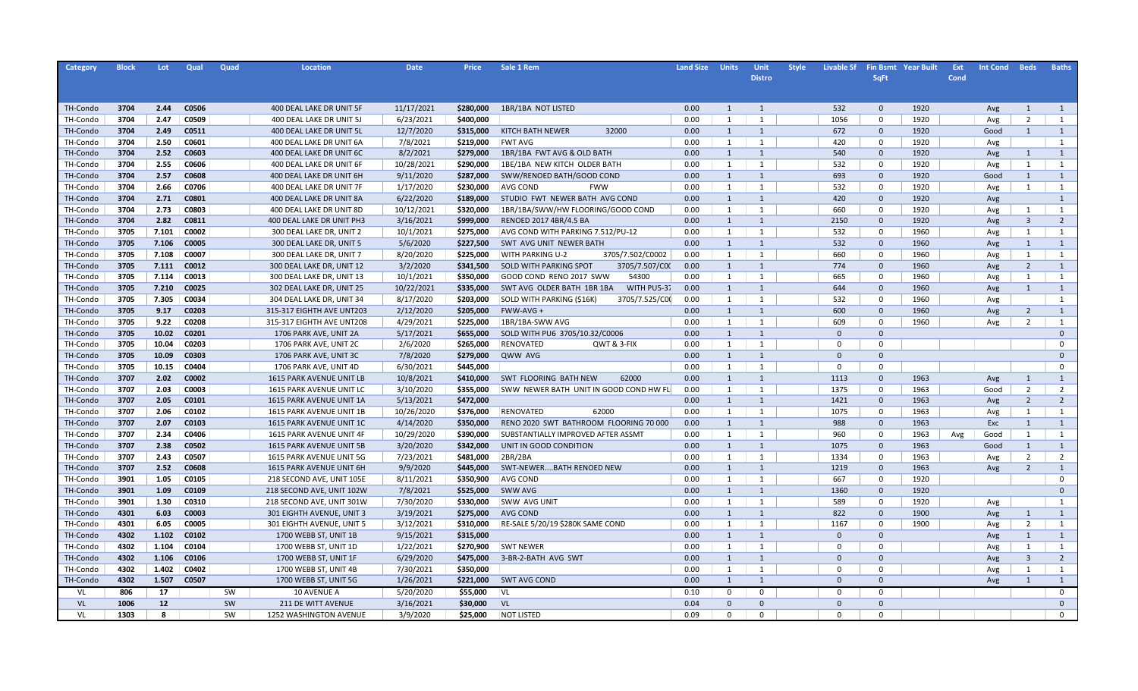| Category | <b>Block</b> | Lot.         | Qual  | Quad | <b>Location</b>           | <b>Date</b> | <b>Price</b> | Sale 1 Rem                                  | <b>Land Size</b> | <b>Units</b> | Unit           | <b>Style</b> | <b>Livable Sf</b> |                | <b>Fin Bsmt</b> Year Built | Ext  | <b>Int Cond</b> | <b>Beds</b>             | <b>Baths</b>   |
|----------|--------------|--------------|-------|------|---------------------------|-------------|--------------|---------------------------------------------|------------------|--------------|----------------|--------------|-------------------|----------------|----------------------------|------|-----------------|-------------------------|----------------|
|          |              |              |       |      |                           |             |              |                                             |                  |              | <b>Distro</b>  |              |                   | <b>SqFt</b>    |                            | Cond |                 |                         |                |
|          |              |              |       |      |                           |             |              |                                             |                  |              |                |              |                   |                |                            |      |                 |                         |                |
| TH-Condo | 3704         | 2.44         | C0506 |      | 400 DEAL LAKE DR UNIT 5F  | 11/17/2021  | \$280,000    | 1BR/1BA NOT LISTED                          | 0.00             | 1            | 1              |              | 532               | $\mathbf{0}$   | 1920                       |      | Avg             | 1                       | 1              |
| TH-Condo | 3704         | 2.47         | C0509 |      | 400 DEAL LAKE DR UNIT 5J  | 6/23/2021   | \$400,000    |                                             | 0.00             | 1            | 1              |              | 1056              | $\mathbf 0$    | 1920                       |      | Avg             | $\overline{2}$          | 1              |
| TH-Condo | 3704         | 2.49         | C0511 |      | 400 DEAL LAKE DR UNIT 5L  | 12/7/2020   | \$315,000    | KITCH BATH NEWER<br>32000                   | 0.00             | 1            | 1              |              | 672               | $\mathbf 0$    | 1920                       |      | Good            | 1                       | $\mathbf{1}$   |
| TH-Condo | 3704         | 2.50         | C0601 |      | 400 DEAL LAKE DR UNIT 6A  | 7/8/2021    | \$219,000    | <b>FWT AVG</b>                              | 0.00             | 1            | 1              |              | 420               | $\mathbf 0$    | 1920                       |      | Avg             |                         | 1              |
| TH-Condo | 3704         | 2.52         | C0603 |      | 400 DEAL LAKE DR UNIT 6C  | 8/2/2021    | \$279,000    | 1BR/1BA FWT AVG & OLD BATH                  | 0.00             | 1            | 1              |              | 540               | $\mathbf 0$    | 1920                       |      | Avg             | 1                       | $\mathbf{1}$   |
| TH-Condo | 3704         | 2.55         | C0606 |      | 400 DEAL LAKE DR UNIT 6F  | 10/28/2021  | \$290,000    | 1BE/1BA NEW KITCH OLDER BATH                | 0.00             | 1            | 1              |              | 532               | $\mathbf 0$    | 1920                       |      | Avg             | 1                       | 1              |
| TH-Condo | 3704         | 2.57         | C0608 |      | 400 DEAL LAKE DR UNIT 6H  | 9/11/2020   | \$287,000    | SWW/RENOED BATH/GOOD COND                   | 0.00             | 1            | 1              |              | 693               | $\mathbf 0$    | 1920                       |      | Good            | 1                       | $\mathbf{1}$   |
| TH-Condo | 3704         | 2.66         | C0706 |      | 400 DEAL LAKE DR UNIT 7F  | 1/17/2020   | \$230,000    | AVG COND<br><b>FWW</b>                      | 0.00             | 1            | 1              |              | 532               | $\mathbf 0$    | 1920                       |      | Avg             | 1                       | 1              |
| TH-Condo | 3704         | 2.71         | C0801 |      | 400 DEAL LAKE DR UNIT 8A  | 6/22/2020   | \$189,000    | STUDIO FWT NEWER BATH AVG COND              | 0.00             | 1            | 1              |              | 420               | $\mathbf 0$    | 1920                       |      | Avg             |                         | 1              |
| TH-Condo | 3704         | 2.73         | C0803 |      | 400 DEAL LAKE DR UNIT 8D  | 10/12/2021  | \$320,000    | 1BR/1BA/SWW/HW FLOORING/GOOD COND           | 0.00             | 1            | 1              |              | 660               | $\mathbf 0$    | 1920                       |      | Avg             | 1                       | 1              |
| TH-Condo | 3704         | 2.82         | C0811 |      | 400 DEAL LAKE DR UNIT PH3 | 3/16/2021   | \$999,000    | RENOED 2017 4BR/4.5 BA                      | 0.00             | 1            | $\mathbf{1}$   |              | 2150              | $\mathbf 0$    | 1920                       |      | Avg             | $\overline{\mathbf{3}}$ | $\overline{2}$ |
| TH-Condo | 3705         | 7.101        | C0002 |      | 300 DEAL LAKE DR, UNIT 2  | 10/1/2021   | \$275,000    | AVG COND WITH PARKING 7.512/PU-12           | 0.00             | 1            | $\mathbf{1}$   |              | 532               | $\mathbf 0$    | 1960                       |      | Avg             | 1                       | 1              |
| TH-Condo | 3705         | 7.106        | C0005 |      | 300 DEAL LAKE DR, UNIT 5  | 5/6/2020    | \$227,500    | SWT AVG UNIT NEWER BATH                     | 0.00             | 1            | $\overline{1}$ |              | 532               | $\mathbf 0$    | 1960                       |      | Avg             | 1                       | 1              |
| TH-Condo | 3705         | 7.108        | C0007 |      | 300 DEAL LAKE DR, UNIT 7  | 8/20/2020   | \$225,000    | <b>WITH PARKING U-2</b><br>3705/7.502/C0002 | 0.00             | 1            | $\mathbf{1}$   |              | 660               | $\mathbf 0$    | 1960                       |      | Avg             | 1                       | 1              |
| TH-Condo | 3705         | 7.111        | C0012 |      | 300 DEAL LAKE DR, UNIT 12 | 3/2/2020    | \$341,500    | 3705/7.507/COO<br>SOLD WITH PARKING SPOT    | 0.00             | 1            | 1              |              | 774               | $\mathbf{0}$   | 1960                       |      | Avg             | $\overline{2}$          | 1              |
| TH-Condo | 3705         | 7.114        | C0013 |      | 300 DEAL LAKE DR, UNIT 13 | 10/1/2021   | \$350,000    | GOOD COND RENO 2017 SWW<br>54300            | 0.00             | 1            | 1              |              | 665               | $\mathbf 0$    | 1960                       |      | Avg             | 1                       | 1              |
| TH-Condo | 3705         | 7.210        | C0025 |      | 302 DEAL LAKE DR, UNIT 25 | 10/22/2021  | \$335,000    | WITH PU5-37<br>SWT AVG OLDER BATH 1BR 1BA   | 0.00             | 1            | 1              |              | 644               | $\mathbf{0}$   | 1960                       |      | Avg             | 1                       | $\mathbf{1}$   |
| TH-Condo | 3705         | 7.305        | C0034 |      | 304 DEAL LAKE DR, UNIT 34 | 8/17/2020   | \$203,000    | 3705/7.525/C00<br>SOLD WITH PARKING (\$16K) | 0.00             | 1            | 1              |              | 532               | $\mathbf 0$    | 1960                       |      | Avg             |                         | $\mathbf{1}$   |
| TH-Condo | 3705         | 9.17         | C0203 |      | 315-317 EIGHTH AVE UNT203 | 2/12/2020   | \$205,000    | FWW-AVG +                                   | 0.00             | 1            | 1              |              | 600               | $\mathbf{0}$   | 1960                       |      | Avg             | $\overline{2}$          | 1              |
| TH-Condo | 3705         | 9.22         | C0208 |      | 315-317 EIGHTH AVE UNT208 | 4/29/2021   | \$225,000    | 1BR/1BA-SWW AVG                             | 0.00             | 1            | $\mathbf{1}$   |              | 609               | $\mathbf 0$    | 1960                       |      | Avg             | $\overline{2}$          | 1              |
| TH-Condo | 3705         | 10.02        | C0201 |      | 1706 PARK AVE, UNIT 2A    | 5/17/2021   | \$655,000    | SOLD WITH PU6 3705/10.32/C0006              | 0.00             | 1            | 1              |              | $\Omega$          | $\mathbf{0}$   |                            |      |                 |                         | $\overline{0}$ |
| TH-Condo | 3705         | 10.04        | C0203 |      | 1706 PARK AVE, UNIT 2C    | 2/6/2020    | \$265,000    | RENOVATED<br>QWT & 3-FIX                    | 0.00             | 1            | 1              |              | $\Omega$          | $\mathbf 0$    |                            |      |                 |                         | $\mathbf 0$    |
| TH-Condo | 3705         | 10.09        | C0303 |      | 1706 PARK AVE, UNIT 3C    | 7/8/2020    | \$279,000    | QWW AVG                                     | 0.00             | 1            | 1              |              | $\Omega$          | $\mathbf{0}$   |                            |      |                 |                         | $\overline{0}$ |
| TH-Condo | 3705         | 10.15        | C0404 |      | 1706 PARK AVE, UNIT 4D    | 6/30/2021   | \$445,000    |                                             | 0.00             | 1            | 1              |              | $\Omega$          | $\mathbf 0$    |                            |      |                 |                         | $\mathbf 0$    |
| TH-Condo | 3707         | 2.02         | C0002 |      | 1615 PARK AVENUE UNIT LB  | 10/8/2021   | \$410,000    | SWT FLOORING BATH NEW<br>62000              | 0.00             | 1            | 1              |              | 1113              | $\mathbf{0}$   | 1963                       |      | Avg             | 1                       | $\mathbf{1}$   |
| TH-Condo | 3707         | 2.03         | C0003 |      | 1615 PARK AVENUE UNIT LC  | 3/10/2020   | \$355,000    | SWW NEWER BATH UNIT IN GOOD COND HW FL      | 0.00             | 1            | 1              |              | 1375              | $\mathbf 0$    | 1963                       |      | Good            | 2                       | $\overline{2}$ |
| TH-Condo | 3707         | 2.05         | C0101 |      | 1615 PARK AVENUE UNIT 1A  | 5/13/2021   | \$472,000    |                                             | 0.00             | 1            | 1              |              | 1421              | $\mathbf{0}$   | 1963                       |      | Avg             | 2                       | $\overline{2}$ |
| TH-Condo | 3707         | 2.06         | C0102 |      | 1615 PARK AVENUE UNIT 1B  | 10/26/2020  | \$376,000    | <b>RENOVATED</b><br>62000                   | 0.00             | 1            | 1              |              | 1075              | $\mathbf 0$    | 1963                       |      | Avg             | 1                       | 1              |
| TH-Condo | 3707         | 2.07         | C0103 |      | 1615 PARK AVENUE UNIT 1C  | 4/14/2020   | \$350,000    | RENO 2020 SWT BATHROOM FLOORING 70 000      | 0.00             | 1            | 1              |              | 988               | $\mathbf{0}$   | 1963                       |      | Exc             | 1                       | 1              |
| TH-Condo | 3707         | 2.34         | C0406 |      | 1615 PARK AVENUE UNIT 4F  | 10/29/2020  | \$390,000    | SUBSTANTIALLY IMPROVED AFTER ASSMT          | 0.00             | 1            | 1              |              | 960               | $\mathbf 0$    | 1963                       | Avg  | Good            | 1                       | 1              |
| TH-Condo | 3707         | 2.38         | C0502 |      | 1615 PARK AVENUE UNIT 5B  | 3/20/2020   | \$342,000    | UNIT IN GOOD CONDITION                      | 0.00             | $\mathbf{1}$ | $\mathbf{1}$   |              | 1075              | $\mathbf 0$    | 1963                       |      | Good            | 1                       | $\mathbf{1}$   |
| TH-Condo | 3707         | 2.43         | C0507 |      | 1615 PARK AVENUE UNIT 5G  | 7/23/2021   | \$481,000    | 2BR/2BA                                     | 0.00             | 1            | 1              |              | 1334              | $\mathbf 0$    | 1963                       |      | Avg             | $\overline{2}$          | $\overline{2}$ |
| TH-Condo | 3707         | 2.52         | C0608 |      | 1615 PARK AVENUE UNIT 6H  | 9/9/2020    | \$445,000    | SWT-NEWERBATH RENOED NEW                    | 0.00             | $\mathbf{1}$ | $\mathbf{1}$   |              | 1219              | $\mathbf 0$    | 1963                       |      | Avg             | $\overline{2}$          | $\mathbf{1}$   |
| TH-Condo | 3901         | 1.05         | C0105 |      | 218 SECOND AVE, UNIT 105E | 8/11/2021   | \$350,900    | AVG COND                                    | 0.00             | 1            | 1              |              | 667               | $\mathbf 0$    | 1920                       |      |                 |                         | $\mathbf 0$    |
| TH-Condo | 3901         | 1.09         | C0109 |      | 218 SECOND AVE, UNIT 102W | 7/8/2021    | \$525,000    | SWW AVG                                     | 0.00             | $\mathbf{1}$ | $\mathbf{1}$   |              | 1360              | $\mathbf 0$    | 1920                       |      |                 |                         | $\mathbf{0}$   |
| TH-Condo | 3901         | 1.30         | C0310 |      | 218 SECOND AVE, UNIT 301W | 7/30/2020   | \$330,000    | <b>SWW AVG UNIT</b>                         | 0.00             | 1            | 1              |              | 589               | $\mathbf 0$    | 1920                       |      | Avg             |                         | 1              |
| TH-Condo | 4301         | 6.03         | C0003 |      | 301 EIGHTH AVENUE, UNIT 3 | 3/19/2021   | \$275,000    | AVG COND                                    | 0.00             | $\mathbf{1}$ | $\mathbf{1}$   |              | 822               | $\mathbf 0$    | 1900                       |      | Avg             | 1                       | $\mathbf{1}$   |
| TH-Condo | 4301         | 6.05         | C0005 |      | 301 EIGHTH AVENUE, UNIT 5 | 3/12/2021   | \$310,000    | RE-SALE 5/20/19 \$280K SAME COND            | 0.00             | 1            | 1              |              | 1167              | $\mathbf 0$    | 1900                       |      | Avg             | $\overline{2}$          | 1              |
| TH-Condo | 4302         | 1.102        | C0102 |      | 1700 WEBB ST, UNIT 1B     | 9/15/2021   | \$315,000    |                                             | 0.00             | $\mathbf{1}$ | $\mathbf{1}$   |              | $\mathbf{0}$      | $\mathbf 0$    |                            |      | Avg             | 1                       | $\mathbf{1}$   |
| TH-Condo | 4302         | 1.104        | C0104 |      | 1700 WEBB ST, UNIT 1D     | 1/22/2021   | \$270,900    | <b>SWT NEWER</b>                            | 0.00             | 1            | 1              |              | $\Omega$          | $\mathbf 0$    |                            |      | Avg             | 1                       | 1              |
| TH-Condo | 4302         | 1.106        | C0106 |      | 1700 WEBB ST, UNIT 1F     | 6/29/2020   | \$475,000    | 3-BR-2-BATH AVG SWT                         | 0.00             | 1            | $\mathbf{1}$   |              | $\Omega$          | $\mathbf 0$    |                            |      | Avg             | $\overline{3}$          | $\overline{2}$ |
| TH-Condo | 4302         | 1.402        | C0402 |      | 1700 WEBB ST, UNIT 4B     | 7/30/2021   | \$350,000    |                                             | 0.00             | 1            | 1              |              | $\Omega$          | $\Omega$       |                            |      | Avg             | 1                       | 1              |
| TH-Condo | 4302         | 1.507        | C0507 |      | 1700 WEBB ST, UNIT 5G     | 1/26/2021   | \$221,000    | <b>SWT AVG COND</b>                         | 0.00             | 1            | $\mathbf{1}$   |              | $\Omega$          | $\overline{0}$ |                            |      | Avg             | 1                       | $\mathbf{1}$   |
| VL       | 806          | 17           |       | SW   | 10 AVENUE A               | 5/20/2020   | \$55,000     | VL                                          | 0.10             | $\Omega$     | $\Omega$       |              |                   | $\mathbf 0$    |                            |      |                 |                         | $\mathbf 0$    |
| VL       | 1006         | 12           |       | SW   | <b>211 DE WITT AVENUE</b> | 3/16/2021   | \$30,000     | <b>VL</b>                                   | 0.04             | $\Omega$     | $\Omega$       |              | $\Omega$          | $\Omega$       |                            |      |                 |                         | $\Omega$       |
| VL       | 1303         | $\mathbf{R}$ |       | SW   | 1252 WASHINGTON AVENUE    | 3/9/2020    | \$25,000     | <b>NOT LISTED</b>                           | 0.09             | $\Omega$     | $\Omega$       |              |                   | $\Omega$       |                            |      |                 |                         | $\Omega$       |